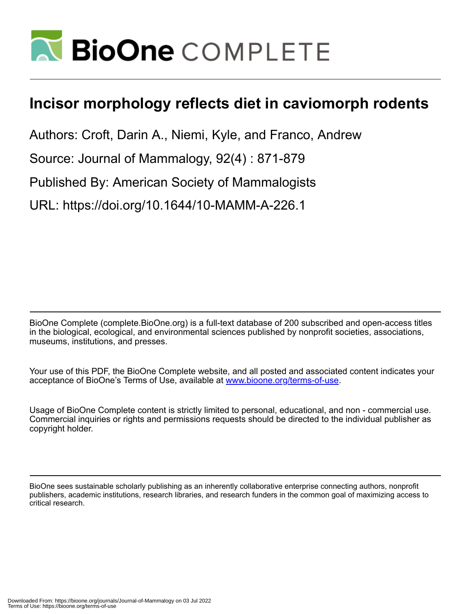

# **Incisor morphology reflects diet in caviomorph rodents**

Authors: Croft, Darin A., Niemi, Kyle, and Franco, Andrew

Source: Journal of Mammalogy, 92(4) : 871-879

Published By: American Society of Mammalogists

URL: https://doi.org/10.1644/10-MAMM-A-226.1

BioOne Complete (complete.BioOne.org) is a full-text database of 200 subscribed and open-access titles in the biological, ecological, and environmental sciences published by nonprofit societies, associations, museums, institutions, and presses.

Your use of this PDF, the BioOne Complete website, and all posted and associated content indicates your acceptance of BioOne's Terms of Use, available at www.bioone.org/terms-of-use.

Usage of BioOne Complete content is strictly limited to personal, educational, and non - commercial use. Commercial inquiries or rights and permissions requests should be directed to the individual publisher as copyright holder.

BioOne sees sustainable scholarly publishing as an inherently collaborative enterprise connecting authors, nonprofit publishers, academic institutions, research libraries, and research funders in the common goal of maximizing access to critical research.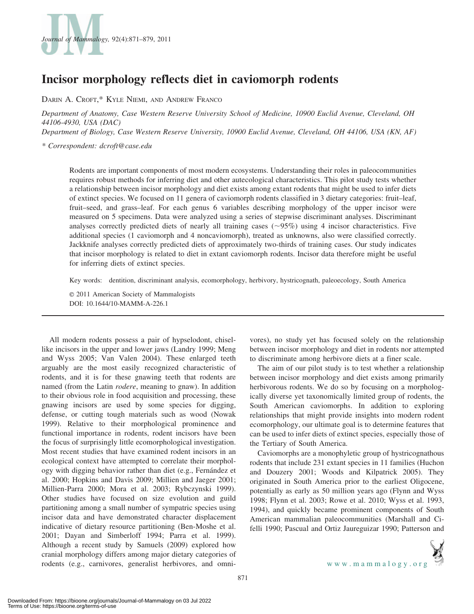

# Incisor morphology reflects diet in caviomorph rodents

DARIN A. CROFT,\* KYLE NIEMI, AND ANDREW FRANCO

Department of Anatomy, Case Western Reserve University School of Medicine, 10900 Euclid Avenue, Cleveland, OH 44106-4930, USA (DAC)

Department of Biology, Case Western Reserve University, 10900 Euclid Avenue, Cleveland, OH 44106, USA (KN, AF)

\* Correspondent: dcroft@case.edu

Rodents are important components of most modern ecosystems. Understanding their roles in paleocommunities requires robust methods for inferring diet and other autecological characteristics. This pilot study tests whether a relationship between incisor morphology and diet exists among extant rodents that might be used to infer diets of extinct species. We focused on 11 genera of caviomorph rodents classified in 3 dietary categories: fruit–leaf, fruit–seed, and grass–leaf. For each genus 6 variables describing morphology of the upper incisor were measured on 5 specimens. Data were analyzed using a series of stepwise discriminant analyses. Discriminant analyses correctly predicted diets of nearly all training cases  $(\sim 95\%)$  using 4 incisor characteristics. Five additional species (1 caviomorph and 4 noncaviomorph), treated as unknowns, also were classified correctly. Jackknife analyses correctly predicted diets of approximately two-thirds of training cases. Our study indicates that incisor morphology is related to diet in extant caviomorph rodents. Incisor data therefore might be useful for inferring diets of extinct species.

Key words: dentition, discriminant analysis, ecomorphology, herbivory, hystricognath, paleoecology, South America

E 2011 American Society of Mammalogists DOI: 10.1644/10-MAMM-A-226.1

All modern rodents possess a pair of hypselodont, chisellike incisors in the upper and lower jaws (Landry 1999; Meng and Wyss 2005; Van Valen 2004). These enlarged teeth arguably are the most easily recognized characteristic of rodents, and it is for these gnawing teeth that rodents are named (from the Latin rodere, meaning to gnaw). In addition to their obvious role in food acquisition and processing, these gnawing incisors are used by some species for digging, defense, or cutting tough materials such as wood (Nowak 1999). Relative to their morphological prominence and functional importance in rodents, rodent incisors have been the focus of surprisingly little ecomorphological investigation. Most recent studies that have examined rodent incisors in an ecological context have attempted to correlate their morphology with digging behavior rather than diet (e.g., Fernández et al. 2000; Hopkins and Davis 2009; Millien and Jaeger 2001; Millien-Parra 2000; Mora et al. 2003; Rybczynski 1999). Other studies have focused on size evolution and guild partitioning among a small number of sympatric species using incisor data and have demonstrated character displacement indicative of dietary resource partitioning (Ben-Moshe et al. 2001; Dayan and Simberloff 1994; Parra et al. 1999). Although a recent study by Samuels (2009) explored how cranial morphology differs among major dietary categories of rodents (e.g., carnivores, generalist herbivores, and omnivores), no study yet has focused solely on the relationship between incisor morphology and diet in rodents nor attempted to discriminate among herbivore diets at a finer scale.

The aim of our pilot study is to test whether a relationship between incisor morphology and diet exists among primarily herbivorous rodents. We do so by focusing on a morphologically diverse yet taxonomically limited group of rodents, the South American caviomorphs. In addition to exploring relationships that might provide insights into modern rodent ecomorphology, our ultimate goal is to determine features that can be used to infer diets of extinct species, especially those of the Tertiary of South America.

Caviomorphs are a monophyletic group of hystricognathous rodents that include 231 extant species in 11 families (Huchon and Douzery 2001; Woods and Kilpatrick 2005). They originated in South America prior to the earliest Oligocene, potentially as early as 50 million years ago (Flynn and Wyss 1998; Flynn et al. 2003; Rowe et al. 2010; Wyss et al. 1993, 1994), and quickly became prominent components of South American mammalian paleocommunities (Marshall and Cifelli 1990; Pascual and Ortiz Jaureguizar 1990; Patterson and



871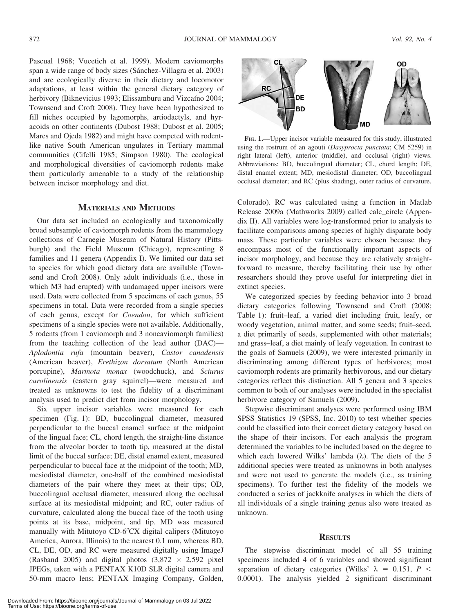Pascual 1968; Vucetich et al. 1999). Modern caviomorphs span a wide range of body sizes (Sánchez-Villagra et al. 2003) and are ecologically diverse in their dietary and locomotor adaptations, at least within the general dietary category of herbivory (Biknevicius 1993; Elissamburu and Vizcaíno 2004; Townsend and Croft 2008). They have been hypothesized to fill niches occupied by lagomorphs, artiodactyls, and hyracoids on other continents (Dubost 1988; Dubost et al. 2005; Mares and Ojeda 1982) and might have competed with rodentlike native South American ungulates in Tertiary mammal communities (Cifelli 1985; Simpson 1980). The ecological and morphological diversities of caviomorph rodents make them particularly amenable to a study of the relationship between incisor morphology and diet.

#### MATERIALS AND METHODS

Our data set included an ecologically and taxonomically broad subsample of caviomorph rodents from the mammalogy collections of Carnegie Museum of Natural History (Pittsburgh) and the Field Museum (Chicago), representing 8 families and 11 genera (Appendix I). We limited our data set to species for which good dietary data are available (Townsend and Croft 2008). Only adult individuals (i.e., those in which M3 had erupted) with undamaged upper incisors were used. Data were collected from 5 specimens of each genus, 55 specimens in total. Data were recorded from a single species of each genus, except for Coendou, for which sufficient specimens of a single species were not available. Additionally, 5 rodents (from 1 caviomorph and 3 noncaviomorph families) from the teaching collection of the lead author (DAC)— Aplodontia rufa (mountain beaver), Castor canadensis (American beaver), Erethizon dorsatum (North American porcupine), Marmota monax (woodchuck), and Sciurus carolinensis (eastern gray squirrel)—were measured and treated as unknowns to test the fidelity of a discriminant analysis used to predict diet from incisor morphology.

Six upper incisor variables were measured for each specimen (Fig. 1): BD, buccolingual diameter, measured perpendicular to the buccal enamel surface at the midpoint of the lingual face; CL, chord length, the straight-line distance from the alveolar border to tooth tip, measured at the distal limit of the buccal surface; DE, distal enamel extent, measured perpendicular to buccal face at the midpoint of the tooth; MD, mesiodistal diameter, one-half of the combined mesiodistal diameters of the pair where they meet at their tips; OD, buccolingual occlusal diameter, measured along the occlusal surface at its mesiodistal midpoint; and RC, outer radius of curvature, calculated along the buccal face of the tooth using points at its base, midpoint, and tip. MD was measured manually with Mitutoyo CD-6"CX digital calipers (Mitutoyo America, Aurora, Illinois) to the nearest 0.1 mm, whereas BD, CL, DE, OD, and RC were measured digitally using ImageJ (Rasband 2005) and digital photos  $(3,872 \times 2,592$  pixel JPEGs, taken with a PENTAX K10D SLR digital camera and 50-mm macro lens; PENTAX Imaging Company, Golden,



FIG. 1.—Upper incisor variable measured for this study, illustrated using the rostrum of an agouti (Dasyprocta punctata; CM 5259) in right lateral (left), anterior (middle), and occlusal (right) views. Abbreviations: BD, buccolingual diameter; CL, chord length; DE, distal enamel extent; MD, mesiodistal diameter; OD, buccolingual occlusal diameter; and RC (plus shading), outer radius of curvature.

Colorado). RC was calculated using a function in Matlab Release 2009a (Mathworks 2009) called calc\_circle (Appendix II). All variables were log-transformed prior to analysis to facilitate comparisons among species of highly disparate body mass. These particular variables were chosen because they encompass most of the functionally important aspects of incisor morphology, and because they are relatively straightforward to measure, thereby facilitating their use by other researchers should they prove useful for interpreting diet in extinct species.

We categorized species by feeding behavior into 3 broad dietary categories following Townsend and Croft (2008; Table 1): fruit–leaf, a varied diet including fruit, leafy, or woody vegetation, animal matter, and some seeds; fruit–seed, a diet primarily of seeds, supplemented with other materials; and grass–leaf, a diet mainly of leafy vegetation. In contrast to the goals of Samuels (2009), we were interested primarily in discriminating among different types of herbivores; most caviomorph rodents are primarily herbivorous, and our dietary categories reflect this distinction. All 5 genera and 3 species common to both of our analyses were included in the specialist herbivore category of Samuels (2009).

Stepwise discriminant analyses were performed using IBM SPSS Statistics 19 (SPSS, Inc. 2010) to test whether species could be classified into their correct dietary category based on the shape of their incisors. For each analysis the program determined the variables to be included based on the degree to which each lowered Wilks' lambda  $(\lambda)$ . The diets of the 5 additional species were treated as unknowns in both analyses and were not used to generate the models (i.e., as training specimens). To further test the fidelity of the models we conducted a series of jackknife analyses in which the diets of all individuals of a single training genus also were treated as unknown.

#### **RESULTS**

The stepwise discriminant model of all 55 training specimens included 4 of 6 variables and showed significant separation of dietary categories (Wilks'  $\lambda = 0.151, P <$ 0.0001). The analysis yielded 2 significant discriminant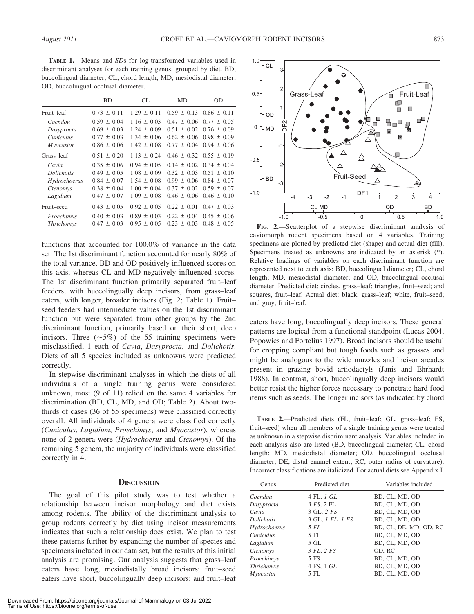TABLE 1.—Means and SDs for log-transformed variables used in discriminant analyses for each training genus, grouped by diet. BD, buccolingual diameter; CL, chord length; MD, mesiodistal diameter; OD, buccolingual occlusal diameter.

|                   | BD              | CL.             | MD              | <b>OD</b>                       |
|-------------------|-----------------|-----------------|-----------------|---------------------------------|
| Fruit-leaf        | $0.73 \pm 0.11$ | $1.29 \pm 0.11$ | $0.59 \pm 0.13$ | $0.86 \pm 0.11$                 |
| Coendou           | $0.59 \pm 0.04$ | $1.16 \pm 0.03$ | $0.47 \pm 0.06$ | $0.77 \pm 0.05$                 |
| Dasyprocta        | $0.69 \pm 0.03$ | $1.24 \pm 0.09$ | $0.51 \pm 0.02$ | $0.76 \pm 0.09$                 |
| <i>Cuniculus</i>  | $0.77 \pm 0.03$ | $1.34 \pm 0.06$ | $0.62 \pm 0.06$ | $0.98 \pm 0.09$                 |
| Myocastor         | $0.86 \pm 0.06$ | $1.42 \pm 0.08$ | $0.77 \pm 0.04$ | $0.94 \pm 0.06$                 |
| Grass-leaf        | $0.51 \pm 0.20$ | $1.13 \pm 0.24$ |                 | $0.46 \pm 0.32$ $0.55 \pm 0.19$ |
| Cavia             | $0.35 \pm 0.06$ | $0.94 \pm 0.05$ | $0.14 \pm 0.02$ | $0.34 \pm 0.04$                 |
| <i>Dolichotis</i> | $0.49 \pm 0.05$ | $1.08 \pm 0.09$ | $0.32 \pm 0.03$ | $0.51 \pm 0.10$                 |
| Hydrochoerus      | $0.84 \pm 0.07$ | $1.54 \pm 0.08$ |                 | $0.99 \pm 0.06$ $0.84 \pm 0.07$ |
| Ctenomys          | $0.38 \pm 0.04$ | $1.00 \pm 0.04$ | $0.37 \pm 0.02$ | $0.59 \pm 0.07$                 |
| Lagidium          | $0.47 \pm 0.07$ | $1.09 \pm 0.08$ | $0.46 \pm 0.06$ | $0.46 \pm 0.10$                 |
| Fruit-seed        | $0.43 \pm 0.05$ | $0.92 \pm 0.05$ | $0.22 \pm 0.01$ | $0.47 \pm 0.03$                 |
| Proechimys        | $0.40 \pm 0.03$ | $0.89 \pm 0.03$ | $0.22 \pm 0.04$ | $0.45 \pm 0.06$                 |
| <b>Thrichomys</b> | $0.47 \pm 0.03$ | $0.95 \pm 0.05$ | $0.23 \pm 0.03$ | $0.48 \pm 0.05$                 |

functions that accounted for 100.0% of variance in the data set. The 1st discriminant function accounted for nearly 80% of the total variance. BD and OD positively influenced scores on this axis, whereas CL and MD negatively influenced scores. The 1st discriminant function primarily separated fruit–leaf feeders, with buccolingually deep incisors, from grass–leaf eaters, with longer, broader incisors (Fig. 2; Table 1). Fruit– seed feeders had intermediate values on the 1st discriminant function but were separated from other groups by the 2nd discriminant function, primarily based on their short, deep incisors. Three  $(\sim 5\%)$  of the 55 training specimens were misclassified, 1 each of Cavia, Dasyprocta, and Dolichotis. Diets of all 5 species included as unknowns were predicted correctly.

In stepwise discriminant analyses in which the diets of all individuals of a single training genus were considered unknown, most (9 of 11) relied on the same 4 variables for discrimination (BD, CL, MD, and OD; Table 2). About twothirds of cases (36 of 55 specimens) were classified correctly overall. All individuals of 4 genera were classified correctly (Cuniculus, Lagidium, Proechimys, and Myocastor), whereas none of 2 genera were (Hydrochoerus and Ctenomys). Of the remaining 5 genera, the majority of individuals were classified correctly in 4.

#### **DISCUSSION**

The goal of this pilot study was to test whether a relationship between incisor morphology and diet exists among rodents. The ability of the discriminant analysis to group rodents correctly by diet using incisor measurements indicates that such a relationship does exist. We plan to test these patterns further by expanding the number of species and specimens included in our data set, but the results of this initial analysis are promising. Our analysis suggests that grass–leaf eaters have long, mesiodistally broad incisors; fruit–seed eaters have short, buccolingually deep incisors; and fruit–leaf





FIG. 2.—Scatterplot of a stepwise discriminant analysis of caviomorph rodent specimens based on 4 variables. Training specimens are plotted by predicted diet (shape) and actual diet (fill). Specimens treated as unknowns are indicated by an asterisk (\*). Relative loadings of variables on each discriminant function are represented next to each axis: BD, buccolingual diameter; CL, chord length; MD, mesiodistal diameter; and OD, buccolingual occlusal diameter. Predicted diet: circles, grass–leaf; triangles, fruit–seed; and squares, fruit–leaf. Actual diet: black, grass–leaf; white, fruit–seed; and gray, fruit–leaf.

eaters have long, buccolingually deep incisors. These general patterns are logical from a functional standpoint (Lucas 2004; Popowics and Fortelius 1997). Broad incisors should be useful for cropping compliant but tough foods such as grasses and might be analogous to the wide muzzles and incisor arcades present in grazing bovid artiodactyls (Janis and Ehrhardt 1988). In contrast, short, buccolingually deep incisors would better resist the higher forces necessary to penetrate hard food items such as seeds. The longer incisors (as indicated by chord

TABLE 2.—Predicted diets (FL, fruit–leaf; GL, grass–leaf; FS, fruit–seed) when all members of a single training genus were treated as unknown in a stepwise discriminant analysis. Variables included in each analysis also are listed (BD, buccolingual diameter; CL, chord length; MD, mesiodistal diameter; OD, buccolingual occlusal diameter; DE, distal enamel extent; RC, outer radius of curvature). Incorrect classifications are italicized. For actual diets see Appendix I.

| Genus             | Predicted diet    | Variables included     |  |  |  |
|-------------------|-------------------|------------------------|--|--|--|
| Coendou           | 4 FL, 1 GL        | BD, CL, MD, OD         |  |  |  |
| Dasyprocta        | 3 FS. 2 FL        | BD. CL. MD. OD         |  |  |  |
| Cavia             | 3 GL, 2 FS        | BD, CL, MD, OD         |  |  |  |
| <i>Dolichotis</i> | 3 GL, 1 FL, 1 FS  | BD. CL. MD. OD         |  |  |  |
| Hydrochoerus      | 5 FL              | BD, CL, DE, MD, OD, RC |  |  |  |
| <i>Cuniculus</i>  | 5 FL              | BD, CL, MD, OD         |  |  |  |
| Lagidium          | $5 \text{ GL}$    | BD, CL, MD, OD         |  |  |  |
| Ctenomys          | 3 FL, 2 FS        | OD. RC                 |  |  |  |
| Proechimys        | 5 FS              | BD, CL, MD, OD         |  |  |  |
| <b>Thrichomys</b> | 4 FS, 1 <i>GL</i> | BD, CL, MD, OD         |  |  |  |
| Myocastor         | 5 FL              | BD, CL, MD, OD         |  |  |  |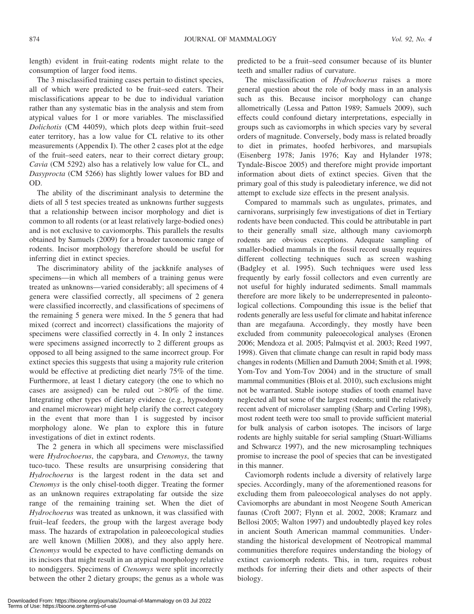length) evident in fruit-eating rodents might relate to the consumption of larger food items.

The 3 misclassified training cases pertain to distinct species, all of which were predicted to be fruit–seed eaters. Their misclassifications appear to be due to individual variation rather than any systematic bias in the analysis and stem from atypical values for 1 or more variables. The misclassified Dolichotis (CM 44059), which plots deep within fruit–seed eater territory, has a low value for CL relative to its other measurements (Appendix I). The other 2 cases plot at the edge of the fruit–seed eaters, near to their correct dietary group; Cavia (CM 5292) also has a relatively low value for CL, and Dasyprocta (CM 5266) has slightly lower values for BD and OD.

The ability of the discriminant analysis to determine the diets of all 5 test species treated as unknowns further suggests that a relationship between incisor morphology and diet is common to all rodents (or at least relatively large-bodied ones) and is not exclusive to caviomorphs. This parallels the results obtained by Samuels (2009) for a broader taxonomic range of rodents. Incisor morphology therefore should be useful for inferring diet in extinct species.

The discriminatory ability of the jackknife analyses of specimens—in which all members of a training genus were treated as unknowns—varied considerably; all specimens of 4 genera were classified correctly, all specimens of 2 genera were classified incorrectly, and classifications of specimens of the remaining 5 genera were mixed. In the 5 genera that had mixed (correct and incorrect) classifications the majority of specimens were classified correctly in 4. In only 2 instances were specimens assigned incorrectly to 2 different groups as opposed to all being assigned to the same incorrect group. For extinct species this suggests that using a majority rule criterion would be effective at predicting diet nearly 75% of the time. Furthermore, at least 1 dietary category (the one to which no cases are assigned) can be ruled out  $>80\%$  of the time. Integrating other types of dietary evidence (e.g., hypsodonty and enamel microwear) might help clarify the correct category in the event that more than 1 is suggested by incisor morphology alone. We plan to explore this in future investigations of diet in extinct rodents.

The 2 genera in which all specimens were misclassified were Hydrochoerus, the capybara, and Ctenomys, the tawny tuco-tuco. These results are unsurprising considering that Hydrochoerus is the largest rodent in the data set and Ctenomys is the only chisel-tooth digger. Treating the former as an unknown requires extrapolating far outside the size range of the remaining training set. When the diet of Hydrochoerus was treated as unknown, it was classified with fruit–leaf feeders, the group with the largest average body mass. The hazards of extrapolation in paleoecological studies are well known (Millien 2008), and they also apply here. Ctenomys would be expected to have conflicting demands on its incisors that might result in an atypical morphology relative to nondiggers. Specimens of Ctenomys were split incorrectly between the other 2 dietary groups; the genus as a whole was predicted to be a fruit–seed consumer because of its blunter teeth and smaller radius of curvature.

The misclassification of Hydrochoerus raises a more general question about the role of body mass in an analysis such as this. Because incisor morphology can change allometrically (Lessa and Patton 1989; Samuels 2009), such effects could confound dietary interpretations, especially in groups such as caviomorphs in which species vary by several orders of magnitude. Conversely, body mass is related broadly to diet in primates, hoofed herbivores, and marsupials (Eisenberg 1978; Janis 1976; Kay and Hylander 1978; Tyndale-Biscoe 2005) and therefore might provide important information about diets of extinct species. Given that the primary goal of this study is paleodietary inference, we did not attempt to exclude size effects in the present analysis.

Compared to mammals such as ungulates, primates, and carnivorans, surprisingly few investigations of diet in Tertiary rodents have been conducted. This could be attributable in part to their generally small size, although many caviomorph rodents are obvious exceptions. Adequate sampling of smaller-bodied mammals in the fossil record usually requires different collecting techniques such as screen washing (Badgley et al. 1995). Such techniques were used less frequently by early fossil collectors and even currently are not useful for highly indurated sediments. Small mammals therefore are more likely to be underrepresented in paleontological collections. Compounding this issue is the belief that rodents generally are less useful for climate and habitat inference than are megafauna. Accordingly, they mostly have been excluded from community paleoecological analyses (Eronen 2006; Mendoza et al. 2005; Palmqvist et al. 2003; Reed 1997, 1998). Given that climate change can result in rapid body mass changes in rodents (Millien and Damuth 2004; Smith et al. 1998; Yom-Tov and Yom-Tov 2004) and in the structure of small mammal communities (Blois et al. 2010), such exclusions might not be warranted. Stable isotope studies of tooth enamel have neglected all but some of the largest rodents; until the relatively recent advent of microlaser sampling (Sharp and Cerling 1998), most rodent teeth were too small to provide sufficient material for bulk analysis of carbon isotopes. The incisors of large rodents are highly suitable for serial sampling (Stuart-Williams and Schwarcz 1997), and the new microsampling techniques promise to increase the pool of species that can be investigated in this manner.

Caviomorph rodents include a diversity of relatively large species. Accordingly, many of the aforementioned reasons for excluding them from paleoecological analyses do not apply. Caviomorphs are abundant in most Neogene South American faunas (Croft 2007; Flynn et al. 2002, 2008; Kramarz and Bellosi 2005; Walton 1997) and undoubtedly played key roles in ancient South American mammal communities. Understanding the historical development of Neotropical mammal communities therefore requires understanding the biology of extinct caviomorph rodents. This, in turn, requires robust methods for inferring their diets and other aspects of their biology.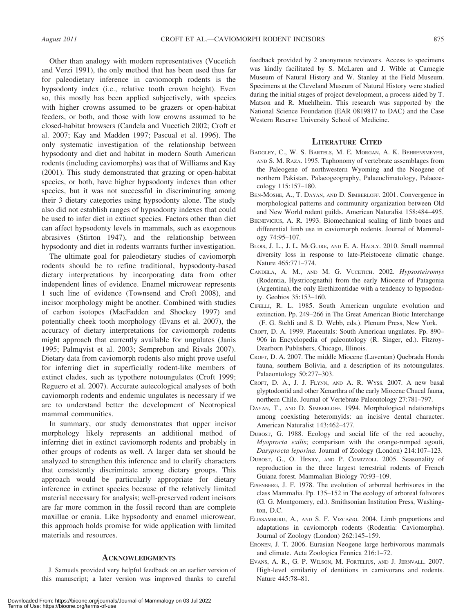Other than analogy with modern representatives (Vucetich and Verzi 1991), the only method that has been used thus far for paleodietary inference in caviomorph rodents is the hypsodonty index (i.e., relative tooth crown height). Even so, this mostly has been applied subjectively, with species with higher crowns assumed to be grazers or open-habitat feeders, or both, and those with low crowns assumed to be closed-habitat browsers (Candela and Vucetich 2002; Croft et al. 2007; Kay and Madden 1997; Pascual et al. 1996). The only systematic investigation of the relationship between hypsodonty and diet and habitat in modern South American rodents (including caviomorphs) was that of Williams and Kay (2001). This study demonstrated that grazing or open-habitat species, or both, have higher hypsodonty indexes than other species, but it was not successful in discriminating among their 3 dietary categories using hypsodonty alone. The study also did not establish ranges of hypsodonty indexes that could be used to infer diet in extinct species. Factors other than diet can affect hypsodonty levels in mammals, such as exogenous abrasives (Stirton 1947), and the relationship between hypsodonty and diet in rodents warrants further investigation.

The ultimate goal for paleodietary studies of caviomorph rodents should be to refine traditional, hypsodonty-based dietary interpretations by incorporating data from other independent lines of evidence. Enamel microwear represents 1 such line of evidence (Townsend and Croft 2008), and incisor morphology might be another. Combined with studies of carbon isotopes (MacFadden and Shockey 1997) and potentially cheek tooth morphology (Evans et al. 2007), the accuracy of dietary interpretations for caviomorph rodents might approach that currently available for ungulates (Janis 1995; Palmqvist et al. 2003; Semprebon and Rivals 2007). Dietary data from caviomorph rodents also might prove useful for inferring diet in superficially rodent-like members of extinct clades, such as typothere notoungulates (Croft 1999; Reguero et al. 2007). Accurate autecological analyses of both caviomorph rodents and endemic ungulates is necessary if we are to understand better the development of Neotropical mammal communities.

In summary, our study demonstrates that upper incisor morphology likely represents an additional method of inferring diet in extinct caviomorph rodents and probably in other groups of rodents as well. A larger data set should be analyzed to strengthen this inference and to clarify characters that consistently discriminate among dietary groups. This approach would be particularly appropriate for dietary inference in extinct species because of the relatively limited material necessary for analysis; well-preserved rodent incisors are far more common in the fossil record than are complete maxillae or crania. Like hypsodonty and enamel microwear, this approach holds promise for wide application with limited materials and resources.

#### ACKNOWLEDGMENTS

J. Samuels provided very helpful feedback on an earlier version of this manuscript; a later version was improved thanks to careful

feedback provided by 2 anonymous reviewers. Access to specimens was kindly facilitated by S. McLaren and J. Wible at Carnegie Museum of Natural History and W. Stanley at the Field Museum. Specimens at the Cleveland Museum of Natural History were studied during the initial stages of project development, a process aided by T. Matson and R. Muehlheim. This research was supported by the National Science Foundation (EAR 0819817 to DAC) and the Case Western Reserve University School of Medicine.

#### LITERATURE CITED

- BADGLEY, C., W. S. BARTELS, M. E. MORGAN, A. K. BEHRENSMEYER, AND S. M. RAZA. 1995. Taphonomy of vertebrate assemblages from the Paleogene of northwestern Wyoming and the Neogene of northern Pakistan. Palaeogeography, Palaeoclimatology, Palaeoecology 115:157–180.
- BEN-MOSHE, A., T. DAYAN, AND D. SIMBERLOFF. 2001. Convergence in morphological patterns and community organization between Old and New World rodent guilds. American Naturalist 158:484–495.
- BIKNEVICIUS, A. R. 1993. Biomechanical scaling of limb bones and differential limb use in caviomorph rodents. Journal of Mammalogy 74:95–107.
- BLOIS, J. L., J. L. MCGUIRE, AND E. A. HADLY. 2010. Small mammal diversity loss in response to late-Pleistocene climatic change. Nature 465:771–774.
- CANDELA, A. M., AND M. G. VUCETICH. 2002. Hypsosteiromys (Rodentia, Hystricognathi) from the early Miocene of Patagonia (Argentina), the only Erethizontidae with a tendency to hypsodonty. Geobios 35:153–160.
- CIFELLI, R. L. 1985. South American ungulate evolution and extinction. Pp. 249–266 in The Great American Biotic Interchange (F. G. Stehli and S. D. Webb, eds.). Plenum Press, New York.
- CROFT, D. A. 1999. Placentals: South American ungulates. Pp. 890– 906 in Encyclopedia of paleontology (R. Singer, ed.). Fitzroy-Dearborn Publishers, Chicago, Illinois.
- CROFT, D. A. 2007. The middle Miocene (Laventan) Quebrada Honda fauna, southern Bolivia, and a description of its notoungulates. Palaeontology 50:277–303.
- CROFT, D. A., J. J. FLYNN, AND A. R. WYSS. 2007. A new basal glyptodontid and other Xenarthra of the early Miocene Chucal fauna, northern Chile. Journal of Vertebrate Paleontology 27:781–797.
- DAYAN, T., AND D. SIMBERLOFF. 1994. Morphological relationships among coexisting heteromyids: an incisive dental character. American Naturalist 143:462–477.
- DUBOST, G. 1988. Ecology and social life of the red acouchy, Myoprocta exilis; comparison with the orange-rumped agouti, Dasyprocta leporina. Journal of Zoology (London) 214:107–123.
- DUBOST, G., O. HENRY, AND P. COMIZZOLI. 2005. Seasonality of reproduction in the three largest terrestrial rodents of French Guiana forest. Mammalian Biology 70:93–109.
- EISENBERG, J. F. 1978. The evolution of arboreal herbivores in the class Mammalia. Pp. 135–152 in The ecology of arboreal folivores (G. G. Montgomery, ed.). Smithsonian Institution Press, Washington, D.C.
- ELISSAMBURU, A., AND S. F. VIZCAINO. 2004. Limb proportions and adaptations in caviomorph rodents (Rodentia: Caviomorpha). Journal of Zoology (London) 262:145–159.
- ERONEN, J. T. 2006. Eurasian Neogene large herbivorous mammals and climate. Acta Zoologica Fennica 216:1–72.
- EVANS, A. R., G. P. WILSON, M. FORTELIUS, AND J. JERNVALL. 2007. High-level similarity of dentitions in carnivorans and rodents. Nature 445:78–81.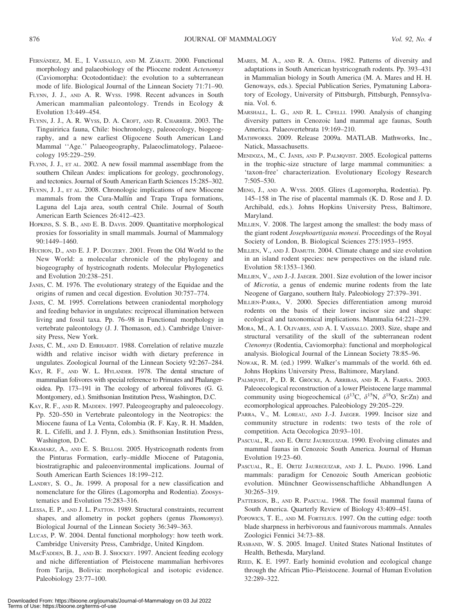- FERNÁNDEZ, M. E., I. VASSALLO, AND M. ZÁRATE. 2000. Functional morphology and palaeobiology of the Pliocene rodent Actenomys (Caviomorpha: Ocotodontidae): the evolution to a subterranean mode of life. Biological Journal of the Linnean Society 71:71–90.
- FLYNN, J. J., AND A. R. WYSS. 1998. Recent advances in South American mammalian paleontology. Trends in Ecology & Evolution 13:449–454.
- FLYNN, J. J., A. R. WYSS, D. A. CROFT, AND R. CHARRIER. 2003. The Tinguiririca fauna, Chile: biochronology, paleoecology, biogeography, and a new earliest Oligocene South American Land Mammal ''Age.'' Palaeogeography, Palaeoclimatology, Palaeoecology 195:229–259.
- FLYNN, J. J., ET AL. 2002. A new fossil mammal assemblage from the southern Chilean Andes: implications for geology, geochronology, and tectonics. Journal of South American Earth Sciences 15:285–302.
- FLYNN, J. J., ET AL. 2008. Chronologic implications of new Miocene mammals from the Cura-Mallín and Trapa Trapa formations, Laguna del Laja area, south central Chile. Journal of South American Earth Sciences 26:412–423.
- HOPKINS, S. S. B., AND E. B. DAVIS. 2009. Quantitative morphological proxies for fossoriality in small mammals. Journal of Mammalogy 90:1449–1460.
- HUCHON, D., AND E. J. P. DOUZERY. 2001. From the Old World to the New World: a molecular chronicle of the phylogeny and biogeography of hystricognath rodents. Molecular Phylogenetics and Evolution 20:238–251.
- JANIS, C. M. 1976. The evolutionary strategy of the Equidae and the origins of rumen and cecal digestion. Evolution 30:757–774.
- JANIS, C. M. 1995. Correlations between craniodental morphology and feeding behavior in ungulates: reciprocal illumination between living and fossil taxa. Pp. 76–98 in Functional morphology in vertebrate paleontology (J. J. Thomason, ed.). Cambridge University Press, New York.
- JANIS, C. M., AND D. EHRHARDT. 1988. Correlation of relative muzzle width and relative incisor width with dietary preference in ungulates. Zoological Journal of the Linnean Society 92:267–284.
- KAY, R. F., AND W. L. HYLANDER. 1978. The dental structure of mammalian folivores with special reference to Primates and Phalangeroidea. Pp. 173–191 in The ecology of arboreal folivores (G. G. Montgomery, ed.). Smithsonian Institution Press, Washington, D.C.
- KAY, R. F., AND R. MADDEN. 1997. Paleogeography and paleoecology. Pp. 520–550 in Vertebrate paleontology in the Neotropics: the Miocene fauna of La Venta, Colombia (R. F. Kay, R. H. Madden, R. L. Cifelli, and J. J. Flynn, eds.). Smithsonian Institution Press, Washington, D.C.
- KRAMARZ, A., AND E. S. BELLOSI. 2005. Hystricognath rodents from the Pinturas Formation, early–middle Miocene of Patagonia, biostratigraphic and paleoenvironmental implications. Journal of South American Earth Sciences 18:199–212.
- LANDRY, S. O., JR. 1999. A proposal for a new classification and nomenclature for the Glires (Lagomorpha and Rodentia). Zoosystematics and Evolution 75:283–316.
- LESSA, E. P., AND J. L. PATTON. 1989. Structural constraints, recurrent shapes, and allometry in pocket gophers (genus Thomomys). Biological Journal of the Linnean Society 36:349–363.
- LUCAS, P. W. 2004. Dental functional morphology: how teeth work. Cambridge University Press, Cambridge, United Kingdom.
- MACFADDEN, B. J., AND B. J. SHOCKEY. 1997. Ancient feeding ecology and niche differentiation of Pleistocene mammalian herbivores from Tarija, Bolivia: morphological and isotopic evidence. Paleobiology 23:77–100.
- MARES, M. A., AND R. A. OJEDA. 1982. Patterns of diversity and adaptations in South American hystricognath rodents. Pp. 393–431 in Mammalian biology in South America (M. A. Mares and H. H. Genoways, eds.). Special Publication Series, Pymatuning Laboratory of Ecology, University of Pittsburgh, Pittsburgh, Pennsylvania. Vol. 6.
- MARSHALL, L. G., AND R. L. CIFELLI. 1990. Analysis of changing diversity patters in Cenozoic land mammal age faunas, South America. Palaeovertebrata 19:169–210.
- MATHWORKS. 2009. Release 2009a. MATLAB. Mathworks, Inc., Natick, Massachusetts.
- MENDOZA, M., C. JANIS, AND P. PALMQVIST. 2005. Ecological patterns in the trophic-size structure of large mammal communities: a 'taxon-free' characterization. Evolutionary Ecology Research 7:505–530.
- MENG, J., AND A. WYSS. 2005. Glires (Lagomorpha, Rodentia). Pp. 145–158 in The rise of placental mammals (K. D. Rose and J. D. Archibald, eds.). Johns Hopkins University Press, Baltimore, Maryland.
- MILLIEN, V. 2008. The largest among the smallest: the body mass of the giant rodent Josephoartigasia monesi. Proceedings of the Royal Society of London, B. Biological Sciences 275:1953–1955.
- MILLIEN, V., AND J. DAMUTH. 2004. Climate change and size evolution in an island rodent species: new perspectives on the island rule. Evolution 58:1353–1360.
- MILLIEN, V., AND J.-J. JAEGER. 2001. Size evolution of the lower incisor of Microtia, a genus of endemic murine rodents from the late Neogene of Gargano, southern Italy. Paleobiology 27:379–391.
- MILLIEN-PARRA, V. 2000. Species differentiation among muroid rodents on the basis of their lower incisor size and shape: ecological and taxonomical implications. Mammalia 64:221–239.
- MORA, M., A. I. OLIVARES, AND A. I. VASSALLO. 2003. Size, shape and structural versatility of the skull of the subterranean rodent Ctenomys (Rodentia, Caviomorpha): functional and morphological analysis. Biological Journal of the Linnean Society 78:85–96.
- NOWAK, R. M. (ed.) 1999. Walker's mammals of the world. 6th ed. Johns Hopkins University Press, Baltimore, Maryland.
- PALMQVIST, P., D. R. GRÖCKE, A. ARRIBAS, AND R. A. FARIÑA. 2003. Paleoecological reconstruction of a lower Pleistocene large mammal community using biogeochemical ( $\delta^{13}C$ ,  $\delta^{15}N$ ,  $\delta^{18}O$ , Sr:Zn) and ecomorphological approaches. Paleobiology 29:205–229.
- PARRA, V., M. LOREAU, AND J.-J. JAEGER. 1999. Incisor size and community structure in rodents: two tests of the role of competition. Acta Oecologica 20:93–101.
- PASCUAL, R., AND E. ORTIZ JAUREGUIZAR. 1990. Evolving climates and mammal faunas in Cenozoic South America. Journal of Human Evolution 19:23–60.
- PASCUAL, R., E. ORTIZ JAUREGUIZAR, AND J. L. PRADO. 1996. Land mammals: paradigm for Cenozoic South American geobiotic evolution. Münchner Geowissenschaftliche Abhandlungen A 30:265–319.
- PATTERSON, B., AND R. PASCUAL. 1968. The fossil mammal fauna of South America. Quarterly Review of Biology 43:409–451.
- POPOWICS, T. E., AND M. FORTELIUS. 1997. On the cutting edge: tooth blade sharpness in herbivorous and faunivorous mammals. Annales Zoologici Fennici 34:73–88.
- RASBAND, W. S. 2005. ImageJ. United States National Institutes of Health, Bethesda, Maryland.
- REED, K. E. 1997. Early hominid evolution and ecological change through the African Plio–Pleistocene. Journal of Human Evolution 32:289–322.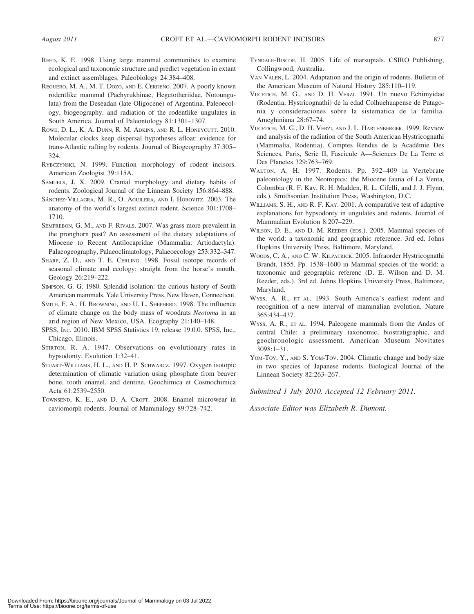- REED, K. E. 1998. Using large mammal communities to examine ecological and taxonomic structure and predict vegetation in extant and extinct assemblages. Paleobiology 24:384–408.
- REGUERO, M. A., M. T. DOZO, AND E. CERDEÑO. 2007. A poorly known rodentlike mammal (Pachyrukhinae, Hegetotheriidae, Notoungulata) from the Deseadan (late Oligocene) of Argentina. Paleoecology, biogeography, and radiation of the rodentlike ungulates in South America. Journal of Paleontology 81:1301–1307.
- ROWE, D. L., K. A. DUNN, R. M. ADKINS, AND R. L. HONEYCUTT. 2010. Molecular clocks keep dispersal hypotheses afloat: evidence for trans-Atlantic rafting by rodents. Journal of Biogeography 37:305– 324.
- RYBCZYNSKI, N. 1999. Function morphology of rodent incisors. American Zoologist 39:115A.
- SAMUELS, J. X. 2009. Cranial morphology and dietary habits of rodents. Zoological Journal of the Linnean Society 156:864–888.
- SÁNCHEZ-VILLAGRA, M. R., O. AGUILERA, AND I. HOROVITZ. 2003. The anatomy of the world's largest extinct rodent. Science 301:1708– 1710.
- SEMPREBON, G. M., AND F. RIVALS. 2007. Was grass more prevalent in the pronghorn past? An assessment of the dietary adaptations of Miocene to Recent Antilocapridae (Mammalia: Artiodactyla). Palaeogeography, Palaeoclimatology, Palaeoecology 253:332–347.
- SHARP, Z. D., AND T. E. CERLING. 1998. Fossil isotope records of seasonal climate and ecology: straight from the horse's mouth. Geology 26:219–222.
- SIMPSON, G. G. 1980. Splendid isolation: the curious history of South American mammals. Yale University Press, New Haven, Connecticut.
- SMITH, F. A., H. BROWNING, AND U. L. SHEPHERD. 1998. The influence of climate change on the body mass of woodrats Neotoma in an arid region of New Mexico, USA. Ecography 21:140–148.
- SPSS, INC. 2010. IBM SPSS Statistics 19, release 19.0.0. SPSS, Inc., Chicago, Illinois.
- STIRTON, R. A. 1947. Observations on evolutionary rates in hypsodonty. Evolution 1:32–41.
- STUART-WILLIAMS, H. L., AND H. P. SCHWARCZ. 1997. Oxygen isotopic determination of climatic variation using phosphate from beaver bone, tooth enamel, and dentine. Geochimica et Cosmochimica Acta 61:2539–2550.
- TOWNSEND, K. E., AND D. A. CROFT. 2008. Enamel microwear in caviomorph rodents. Journal of Mammalogy 89:728–742.
- TYNDALE-BISCOE, H. 2005. Life of marsupials. CSIRO Publishing, Collingwood, Australia.
- VAN VALEN, L. 2004. Adaptation and the origin of rodents. Bulletin of the American Museum of Natural History 285:110–119.
- VUCETICH, M. G., AND D. H. VERZI. 1991. Un nuevo Echimyidae (Rodentia, Hystricognathi) de la edad Colhuehuapense de Patagonia y consideraciones sobre la sistematica de la familia. Ameghiniana 28:67–74.
- VUCETICH, M. G., D. H. VERZI, AND J. L. HARTENBERGER. 1999. Review and analysis of the radiation of the South American Hystricognathi (Mammalia, Rodentia). Comptes Rendus de la Académie Des Sciences, Paris, Serie II, Fascicule A—Sciences De La Terre et Des Planetes 329:763–769.
- WALTON, A. H. 1997. Rodents. Pp. 392–409 in Vertebrate paleontology in the Neotropics: the Miocene fauna of La Venta, Colombia (R. F. Kay, R. H. Madden, R. L. Cifelli, and J. J. Flynn, eds.). Smithsonian Institution Press, Washington, D.C.
- WILLIAMS, S. H., AND R. F. KAY. 2001. A comparative test of adaptive explanations for hypsodonty in ungulates and rodents. Journal of Mammalian Evolution 8:207–229.
- WILSON, D. E., AND D. M. REEDER (EDS.). 2005. Mammal species of the world: a taxonomic and geographic reference. 3rd ed. Johns Hopkins University Press, Baltimore, Maryland.
- WOODS, C. A., AND C. W. KILPATRICK. 2005. Infraorder Hystricognathi Brandt, 1855. Pp. 1538–1600 in Mammal species of the world: a taxonomic and geographic referenc (D. E. Wilson and D. M. Reeder, eds.). 3rd ed. Johns Hopkins University Press, Baltimore, Maryland.
- WYSS, A. R., ET AL. 1993. South America's earliest rodent and recognition of a new interval of mammalian evolution. Nature 365:434–437.
- WYSS, A. R., ET AL. 1994. Paleogene mammals from the Andes of central Chile: a preliminary taxonomic, biostratigraphic, and geochronologic assessment. American Museum Novitates 3098:1–31.
- YOM-TOV, Y., AND S. YOM-TOV. 2004. Climatic change and body size in two species of Japanese rodents. Biological Journal of the Linnean Society 82:263–267.

Submitted 1 July 2010. Accepted 12 February 2011.

Associate Editor was Elizabeth R. Dumont.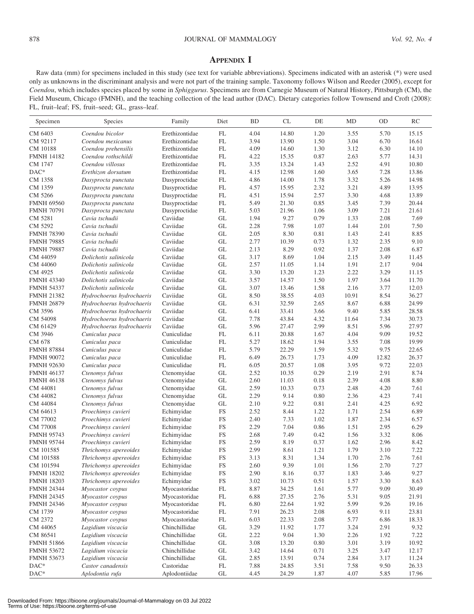## APPENDIX I

Raw data (mm) for specimens included in this study (see text for variable abbreviations). Specimens indicated with an asterisk (\*) were used only as unknowns in the discriminant analysis and were not part of the training sample. Taxonomy follows Wilson and Reeder (2005), except for Coendou, which includes species placed by some in Sphiggurus. Specimens are from Carnegie Museum of Natural History, Pittsburgh (CM), the Field Museum, Chicago (FMNH), and the teaching collection of the lead author (DAC). Dietary categories follow Townsend and Croft (2008): FL, fruit–leaf; FS, fruit–seed; GL, grass–leaf.

| CM 6403<br>Coendou bicolor<br>Erethizontidae<br>$\mathop{\rm FL}\nolimits$<br>14.80<br>3.55<br>15.15<br>4.04<br>1.20<br>5.70<br>$\mathop{\rm FL}\nolimits$<br>3.94<br>13.90<br>1.50<br>3.04<br>6.70<br>16.61<br>CM 92117<br>Coendou mexicanus<br>Erethizontidae<br>$\mathop{\rm FL}\nolimits$<br>4.09<br>14.60<br>1.30<br>3.12<br>6.30<br>14.10<br>CM 10188<br>Coendou prehensilis<br>Erethizontidae<br>$\mathop{\rm FL}\nolimits$<br>Erethizontidae<br>15.35<br>0.87<br>2.63<br>5.77<br>14.31<br><b>FMNH 14182</b><br>Coendou rothschildi<br>4.22<br>Erethizontidae<br>$\mathop{\rm FL}\nolimits$<br>3.35<br>13.24<br>2.52<br>4.91<br>10.80<br>CM 1747<br>Coendou villosus<br>1.43<br>$DAC*$<br>$\mathop{\rm FL}\nolimits$<br>4.15<br>12.98<br>1.60<br>3.65<br>7.28<br>13.86<br>Erethizon dorsatum<br>Erethizontidae<br>FL<br>4.86<br>14.00<br>1.78<br>3.32<br>5.26<br>14.98<br>CM 1358<br>Dasyproctidae<br>Dasyprocta punctata<br>$\mathop{\rm FL}\nolimits$<br>4.57<br>15.95<br>2.32<br>3.21<br>4.89<br>13.95<br>CM 1359<br>Dasyproctidae<br>Dasyprocta punctata<br>$\mathop{\rm FL}\nolimits$<br>CM 5266<br>4.51<br>15.94<br>2.57<br>3.30<br>4.68<br>13.89<br>Dasyproctidae<br>Dasyprocta punctata<br>$\mathop{\rm FL}\nolimits$<br>5.49<br>21.30<br>0.85<br>7.39<br>20.44<br><b>FMNH 69560</b><br>Dasyproctidae<br>3.45<br>Dasyprocta punctata<br>$\mathop{\rm FL}\nolimits$<br>5.03<br>21.96<br>1.06<br>3.09<br>7.21<br>21.61<br><b>FMNH 70791</b><br>Dasyproctidae<br>Dasyprocta punctata<br>$\operatorname{GL}$<br>CM 5281<br>Caviidae<br>1.94<br>9.27<br>0.79<br>1.33<br>2.08<br>7.69<br>Cavia tschudii<br>CM 5292<br>Caviidae<br>GL<br>2.28<br>7.98<br>1.07<br>1.44<br>2.01<br>7.50<br>Cavia tschudii<br>$\operatorname{GL}$<br>Caviidae<br>2.05<br>8.30<br>0.81<br>1.43<br>2.41<br>8.85<br><b>FMNH 78390</b><br>Cavia tschudii<br>GL<br>2.77<br>10.39<br>0.73<br>1.32<br>2.35<br>9.10<br><b>FMNH 79885</b><br>Cavia tschudii<br>Caviidae<br>Caviidae<br>GL<br>2.13<br>8.29<br>0.92<br>1.37<br>2.08<br>6.87<br><b>FMNH 79887</b><br>Cavia tschudii<br>GL<br>3.17<br>8.69<br>1.04<br>2.15<br>3.49<br>CM 44059<br>Dolichotis salinicola<br>Caviidae<br>11.45<br>9.04<br>GL<br>2.57<br>1.14<br>1.91<br>CM 44060<br>Dolichotis salinicola<br>Caviidae<br>11.05<br>2.17<br>GL<br>3.30<br>13.20<br>1.23<br>2.22<br>3.29<br>CM 4925<br>Dolichotis salinicola<br>Caviidae<br>11.15<br>Caviidae<br>GL<br>3.57<br>14.57<br>1.50<br>1.97<br>3.64<br>11.70<br><b>FMNH 43340</b><br>Dolichotis salinicola<br>$\operatorname{GL}$<br>Caviidae<br>3.07<br>13.46<br>1.58<br>2.16<br>3.77<br>12.03<br><b>FMNH 54337</b><br>Dolichotis salinicola<br>Caviidae<br>GL<br>8.50<br>38.55<br>4.03<br>10.91<br>8.54<br>36.27<br><b>FMNH 21382</b><br>Hydrochoerus hydrochaeris<br>Caviidae<br>GL<br>6.31<br>32.59<br>2.65<br>8.67<br>6.88<br>24.99<br><b>FMNH 26879</b><br>Hydrochoerus hydrochaeris<br>GL<br>6.41<br>3.66<br>9.40<br>5.85<br>28.58<br>CM 3596<br>Hydrochoerus hydrochaeris<br>Caviidae<br>33.41<br>CM 54098<br>Caviidae<br>GL<br>7.78<br>43.84<br>4.32<br>7.34<br>30.73<br>Hydrochoerus hydrochaeris<br>11.64<br>GL<br>5.96<br>27.47<br>2.99<br>8.51<br>5.96<br>27.97<br>CM 61429<br>Hydrochoerus hydrochaeris<br>Caviidae<br>CM 3946<br>$\mathop{\rm FL}\nolimits$<br>6.11<br>20.88<br>1.67<br>4.04<br>9.09<br>19.52<br>Cuniculus paca<br>Cuniculidae<br>CM 678<br>$\mathop{\rm FL}\nolimits$<br>5.27<br>18.62<br>1.94<br>3.55<br>7.08<br>19.99<br>Cuniculus paca<br>Cuniculidae<br>$\mathop{\rm FL}\nolimits$<br>5.79<br>22.29<br>1.59<br>5.32<br>9.75<br>22.65<br><b>FMNH 87884</b><br>Cuniculus paca<br>Cuniculidae<br>$\mathop{\rm FL}\nolimits$<br>6.49<br>26.73<br>1.73<br>4.09<br>12.82<br>26.37<br><b>FMNH 90072</b><br>Cuniculus paca<br>Cuniculidae<br>$\mathop{\rm FL}\nolimits$<br>6.05<br>20.57<br>1.08<br>3.95<br>9.72<br>22.03<br><b>FMNH 92630</b><br>Cuniculus paca<br>Cuniculidae<br>$\operatorname{GL}$<br>2.52<br>10.35<br>0.29<br>2.19<br>2.91<br>8.74<br><b>FMNH 46137</b><br>Ctenomys fulvus<br>Ctenomyidae<br>GL<br>2.60<br>11.03<br>0.18<br>2.39<br>4.08<br>8.80<br><b>FMNH 46138</b><br>Ctenomys fulvus<br>Ctenomyidae<br>GL<br>2.59<br>10.33<br>0.73<br>2.48<br>4.20<br>7.61<br>CM 44081<br>Ctenomys fulvus<br>Ctenomyidae<br>Ctenomys fulvus<br>Ctenomyidae<br>GL<br>2.29<br>9.14<br>0.80<br>2.36<br>4.23<br>7.41<br>CM 44082<br>GL<br>2.10<br>9.22<br>0.81<br>4.25<br>6.92<br>CM 44084<br>Ctenomys fulvus<br>Ctenomyidae<br>2.41<br>FS<br>2.52<br>8.44<br>1.22<br>1.71<br>2.54<br>6.89<br>CM 64613<br>Proechimys cuvieri<br>Echimyidae<br>1.02<br>FS<br>2.40<br>7.33<br>1.87<br>2.34<br>6.57<br>CM 77002<br>Proechimys cuvieri<br>Echimyidae<br>CM 77008<br>FS<br>2.29<br>7.04<br>0.86<br>1.51<br>2.95<br>6.29<br>Proechimys cuvieri<br>Echimyidae<br>FS<br>2.68<br>7.49<br>0.42<br>1.56<br>3.32<br>8.06<br><b>FMNH 95743</b><br>Proechimys cuvieri<br>Echimyidae<br>Proechimys cuvieri<br>FS<br>2.59<br>8.19<br>0.37<br>1.62<br>2.96<br>8.42<br><b>FMNH 95744</b><br>Echimyidae<br>FS<br>2.99<br>8.61<br>1.21<br>1.79<br>3.10<br>7.22<br>CM 101585<br>Thrichomys apereoides<br>Echimyidae<br>FS<br>CM 101588<br>Echimyidae<br>3.13<br>8.31<br>1.34<br>1.70<br>2.76<br>7.61<br>Thrichomys apereoides<br>CM 101594<br>Echimyidae<br>${\rm FS}$<br>2.60<br>9.39<br>1.01<br>1.56<br>2.70<br>7.27<br>Thrichomys apereoides<br>9.27<br><b>FMNH 18202</b><br>Echimyidae<br>FS<br>2.90<br>8.16<br>0.37<br>1.83<br>3.46<br>Thrichomys apereoides<br>Echimyidae<br><b>FMNH 18203</b><br>Thrichomys apereoides<br>FS<br>3.02<br>10.73<br>0.51<br>1.57<br>3.30<br>8.63<br>Myocastoridae<br>$\mathop{\rm FL}\nolimits$<br>8.87<br>34.25<br>1.61<br>5.77<br>9.09<br><b>FMNH 24344</b><br>Myocastor coypus<br>30.49<br>27.35<br>2.76<br>5.31<br><b>FMNH 24345</b><br>Myocastor coypus<br>Myocastoridae<br>$\mathop{\rm FL}\nolimits$<br>6.88<br>9.05<br>21.91<br><b>FMNH 24346</b><br>Myocastor coypus<br>Myocastoridae<br>$\mathop{\rm FL}\nolimits$<br>6.80<br>22.64<br>1.92<br>5.99<br>9.26<br>19.16<br>Myocastoridae<br>$\mathop{\rm FL}\nolimits$<br>7.91<br>26.23<br>2.08<br>6.93<br>23.81<br>CM 1739<br>Myocastor coypus<br>9.11<br>CM 2372<br>Myocastoridae<br>$\mathop{\rm FL}\nolimits$<br>Myocastor coypus<br>6.03<br>22.33<br>2.08<br>5.77<br>6.86<br>18.33<br>$\operatorname{GL}$<br>CM 44065<br>Lagidium viscacia<br>Chinchillidae<br>3.29<br>11.92<br>1.77<br>3.24<br>2.91<br>9.32<br>CM 86541<br>Lagidium viscacia<br>Chinchillidae<br>$\operatorname{GL}$<br>2.22<br>9.04<br>1.30<br>2.26<br>1.92<br>7.22<br>$\operatorname{GL}$<br><b>FMNH 51866</b><br>Lagidium viscacia<br>Chinchillidae<br>3.08<br>13.20<br>0.80<br>3.01<br>3.19<br>10.92<br>Lagidium viscacia<br>$\operatorname{GL}$<br><b>FMNH 53672</b><br>Chinchillidae<br>3.42<br>14.64<br>0.71<br>3.25<br>3.47<br>12.17<br><b>FMNH 53673</b><br>Lagidium viscacia<br>Chinchillidae<br>$\operatorname{GL}$<br>13.91<br>2.84<br>2.85<br>0.74<br>3.17<br>11.24<br>$DAC*$<br>Castor canadensis<br>Castoridae<br>26.33<br>FL<br>7.88<br>24.85<br>3.51<br>7.58<br>9.50 | Specimen | Species         | Family        | Diet                | <b>BD</b> | CL    | DE   | MD   | <b>OD</b> | RC    |
|----------------------------------------------------------------------------------------------------------------------------------------------------------------------------------------------------------------------------------------------------------------------------------------------------------------------------------------------------------------------------------------------------------------------------------------------------------------------------------------------------------------------------------------------------------------------------------------------------------------------------------------------------------------------------------------------------------------------------------------------------------------------------------------------------------------------------------------------------------------------------------------------------------------------------------------------------------------------------------------------------------------------------------------------------------------------------------------------------------------------------------------------------------------------------------------------------------------------------------------------------------------------------------------------------------------------------------------------------------------------------------------------------------------------------------------------------------------------------------------------------------------------------------------------------------------------------------------------------------------------------------------------------------------------------------------------------------------------------------------------------------------------------------------------------------------------------------------------------------------------------------------------------------------------------------------------------------------------------------------------------------------------------------------------------------------------------------------------------------------------------------------------------------------------------------------------------------------------------------------------------------------------------------------------------------------------------------------------------------------------------------------------------------------------------------------------------------------------------------------------------------------------------------------------------------------------------------------------------------------------------------------------------------------------------------------------------------------------------------------------------------------------------------------------------------------------------------------------------------------------------------------------------------------------------------------------------------------------------------------------------------------------------------------------------------------------------------------------------------------------------------------------------------------------------------------------------------------------------------------------------------------------------------------------------------------------------------------------------------------------------------------------------------------------------------------------------------------------------------------------------------------------------------------------------------------------------------------------------------------------------------------------------------------------------------------------------------------------------------------------------------------------------------------------------------------------------------------------------------------------------------------------------------------------------------------------------------------------------------------------------------------------------------------------------------------------------------------------------------------------------------------------------------------------------------------------------------------------------------------------------------------------------------------------------------------------------------------------------------------------------------------------------------------------------------------------------------------------------------------------------------------------------------------------------------------------------------------------------------------------------------------------------------------------------------------------------------------------------------------------------------------------------------------------------------------------------------------------------------------------------------------------------------------------------------------------------------------------------------------------------------------------------------------------------------------------------------------------------------------------------------------------------------------------------------------------------------------------------------------------------------------------------------------------------------------------------------------------------------------------------------------------------------------------------------------------------------------------------------------------------------------------------------------------------------------------------------------------------------------------------------------------------------------------------------------------------------------------------------------------------------------------------------------------------------------------------------------------------------------------------------------------------------------------------------------------------------------------------------------------------------------------------------------------------------------------------------------------------------------------------------------------------------------------------------------------------------------------------------------------------------------------------------------------------------------------------------------------------------------------------------------------------------------------------------------------------------------------------------------------------------------------------------------------------------------------------------------------------------------------------------------------------------------------------------------------------------------------------------------------------------------------------------------------------------------------------------------------------------------------------------------------------------------------------------------------------------------------------------------------------------------------------------------------------------------|----------|-----------------|---------------|---------------------|-----------|-------|------|------|-----------|-------|
|                                                                                                                                                                                                                                                                                                                                                                                                                                                                                                                                                                                                                                                                                                                                                                                                                                                                                                                                                                                                                                                                                                                                                                                                                                                                                                                                                                                                                                                                                                                                                                                                                                                                                                                                                                                                                                                                                                                                                                                                                                                                                                                                                                                                                                                                                                                                                                                                                                                                                                                                                                                                                                                                                                                                                                                                                                                                                                                                                                                                                                                                                                                                                                                                                                                                                                                                                                                                                                                                                                                                                                                                                                                                                                                                                                                                                                                                                                                                                                                                                                                                                                                                                                                                                                                                                                                                                                                                                                                                                                                                                                                                                                                                                                                                                                                                                                                                                                                                                                                                                                                                                                                                                                                                                                                                                                                                                                                                                                                                                                                                                                                                                                                                                                                                                                                                                                                                                                                                                                                                                                                                                                                                                                                                                                                                                                                                                                                                                                                                                                                                                                                                                                                                                                                                                                                                                                                                                                                                                                                                                                                                |          |                 |               |                     |           |       |      |      |           |       |
|                                                                                                                                                                                                                                                                                                                                                                                                                                                                                                                                                                                                                                                                                                                                                                                                                                                                                                                                                                                                                                                                                                                                                                                                                                                                                                                                                                                                                                                                                                                                                                                                                                                                                                                                                                                                                                                                                                                                                                                                                                                                                                                                                                                                                                                                                                                                                                                                                                                                                                                                                                                                                                                                                                                                                                                                                                                                                                                                                                                                                                                                                                                                                                                                                                                                                                                                                                                                                                                                                                                                                                                                                                                                                                                                                                                                                                                                                                                                                                                                                                                                                                                                                                                                                                                                                                                                                                                                                                                                                                                                                                                                                                                                                                                                                                                                                                                                                                                                                                                                                                                                                                                                                                                                                                                                                                                                                                                                                                                                                                                                                                                                                                                                                                                                                                                                                                                                                                                                                                                                                                                                                                                                                                                                                                                                                                                                                                                                                                                                                                                                                                                                                                                                                                                                                                                                                                                                                                                                                                                                                                                                |          |                 |               |                     |           |       |      |      |           |       |
|                                                                                                                                                                                                                                                                                                                                                                                                                                                                                                                                                                                                                                                                                                                                                                                                                                                                                                                                                                                                                                                                                                                                                                                                                                                                                                                                                                                                                                                                                                                                                                                                                                                                                                                                                                                                                                                                                                                                                                                                                                                                                                                                                                                                                                                                                                                                                                                                                                                                                                                                                                                                                                                                                                                                                                                                                                                                                                                                                                                                                                                                                                                                                                                                                                                                                                                                                                                                                                                                                                                                                                                                                                                                                                                                                                                                                                                                                                                                                                                                                                                                                                                                                                                                                                                                                                                                                                                                                                                                                                                                                                                                                                                                                                                                                                                                                                                                                                                                                                                                                                                                                                                                                                                                                                                                                                                                                                                                                                                                                                                                                                                                                                                                                                                                                                                                                                                                                                                                                                                                                                                                                                                                                                                                                                                                                                                                                                                                                                                                                                                                                                                                                                                                                                                                                                                                                                                                                                                                                                                                                                                                |          |                 |               |                     |           |       |      |      |           |       |
|                                                                                                                                                                                                                                                                                                                                                                                                                                                                                                                                                                                                                                                                                                                                                                                                                                                                                                                                                                                                                                                                                                                                                                                                                                                                                                                                                                                                                                                                                                                                                                                                                                                                                                                                                                                                                                                                                                                                                                                                                                                                                                                                                                                                                                                                                                                                                                                                                                                                                                                                                                                                                                                                                                                                                                                                                                                                                                                                                                                                                                                                                                                                                                                                                                                                                                                                                                                                                                                                                                                                                                                                                                                                                                                                                                                                                                                                                                                                                                                                                                                                                                                                                                                                                                                                                                                                                                                                                                                                                                                                                                                                                                                                                                                                                                                                                                                                                                                                                                                                                                                                                                                                                                                                                                                                                                                                                                                                                                                                                                                                                                                                                                                                                                                                                                                                                                                                                                                                                                                                                                                                                                                                                                                                                                                                                                                                                                                                                                                                                                                                                                                                                                                                                                                                                                                                                                                                                                                                                                                                                                                                |          |                 |               |                     |           |       |      |      |           |       |
|                                                                                                                                                                                                                                                                                                                                                                                                                                                                                                                                                                                                                                                                                                                                                                                                                                                                                                                                                                                                                                                                                                                                                                                                                                                                                                                                                                                                                                                                                                                                                                                                                                                                                                                                                                                                                                                                                                                                                                                                                                                                                                                                                                                                                                                                                                                                                                                                                                                                                                                                                                                                                                                                                                                                                                                                                                                                                                                                                                                                                                                                                                                                                                                                                                                                                                                                                                                                                                                                                                                                                                                                                                                                                                                                                                                                                                                                                                                                                                                                                                                                                                                                                                                                                                                                                                                                                                                                                                                                                                                                                                                                                                                                                                                                                                                                                                                                                                                                                                                                                                                                                                                                                                                                                                                                                                                                                                                                                                                                                                                                                                                                                                                                                                                                                                                                                                                                                                                                                                                                                                                                                                                                                                                                                                                                                                                                                                                                                                                                                                                                                                                                                                                                                                                                                                                                                                                                                                                                                                                                                                                                |          |                 |               |                     |           |       |      |      |           |       |
|                                                                                                                                                                                                                                                                                                                                                                                                                                                                                                                                                                                                                                                                                                                                                                                                                                                                                                                                                                                                                                                                                                                                                                                                                                                                                                                                                                                                                                                                                                                                                                                                                                                                                                                                                                                                                                                                                                                                                                                                                                                                                                                                                                                                                                                                                                                                                                                                                                                                                                                                                                                                                                                                                                                                                                                                                                                                                                                                                                                                                                                                                                                                                                                                                                                                                                                                                                                                                                                                                                                                                                                                                                                                                                                                                                                                                                                                                                                                                                                                                                                                                                                                                                                                                                                                                                                                                                                                                                                                                                                                                                                                                                                                                                                                                                                                                                                                                                                                                                                                                                                                                                                                                                                                                                                                                                                                                                                                                                                                                                                                                                                                                                                                                                                                                                                                                                                                                                                                                                                                                                                                                                                                                                                                                                                                                                                                                                                                                                                                                                                                                                                                                                                                                                                                                                                                                                                                                                                                                                                                                                                                |          |                 |               |                     |           |       |      |      |           |       |
|                                                                                                                                                                                                                                                                                                                                                                                                                                                                                                                                                                                                                                                                                                                                                                                                                                                                                                                                                                                                                                                                                                                                                                                                                                                                                                                                                                                                                                                                                                                                                                                                                                                                                                                                                                                                                                                                                                                                                                                                                                                                                                                                                                                                                                                                                                                                                                                                                                                                                                                                                                                                                                                                                                                                                                                                                                                                                                                                                                                                                                                                                                                                                                                                                                                                                                                                                                                                                                                                                                                                                                                                                                                                                                                                                                                                                                                                                                                                                                                                                                                                                                                                                                                                                                                                                                                                                                                                                                                                                                                                                                                                                                                                                                                                                                                                                                                                                                                                                                                                                                                                                                                                                                                                                                                                                                                                                                                                                                                                                                                                                                                                                                                                                                                                                                                                                                                                                                                                                                                                                                                                                                                                                                                                                                                                                                                                                                                                                                                                                                                                                                                                                                                                                                                                                                                                                                                                                                                                                                                                                                                                |          |                 |               |                     |           |       |      |      |           |       |
|                                                                                                                                                                                                                                                                                                                                                                                                                                                                                                                                                                                                                                                                                                                                                                                                                                                                                                                                                                                                                                                                                                                                                                                                                                                                                                                                                                                                                                                                                                                                                                                                                                                                                                                                                                                                                                                                                                                                                                                                                                                                                                                                                                                                                                                                                                                                                                                                                                                                                                                                                                                                                                                                                                                                                                                                                                                                                                                                                                                                                                                                                                                                                                                                                                                                                                                                                                                                                                                                                                                                                                                                                                                                                                                                                                                                                                                                                                                                                                                                                                                                                                                                                                                                                                                                                                                                                                                                                                                                                                                                                                                                                                                                                                                                                                                                                                                                                                                                                                                                                                                                                                                                                                                                                                                                                                                                                                                                                                                                                                                                                                                                                                                                                                                                                                                                                                                                                                                                                                                                                                                                                                                                                                                                                                                                                                                                                                                                                                                                                                                                                                                                                                                                                                                                                                                                                                                                                                                                                                                                                                                                |          |                 |               |                     |           |       |      |      |           |       |
|                                                                                                                                                                                                                                                                                                                                                                                                                                                                                                                                                                                                                                                                                                                                                                                                                                                                                                                                                                                                                                                                                                                                                                                                                                                                                                                                                                                                                                                                                                                                                                                                                                                                                                                                                                                                                                                                                                                                                                                                                                                                                                                                                                                                                                                                                                                                                                                                                                                                                                                                                                                                                                                                                                                                                                                                                                                                                                                                                                                                                                                                                                                                                                                                                                                                                                                                                                                                                                                                                                                                                                                                                                                                                                                                                                                                                                                                                                                                                                                                                                                                                                                                                                                                                                                                                                                                                                                                                                                                                                                                                                                                                                                                                                                                                                                                                                                                                                                                                                                                                                                                                                                                                                                                                                                                                                                                                                                                                                                                                                                                                                                                                                                                                                                                                                                                                                                                                                                                                                                                                                                                                                                                                                                                                                                                                                                                                                                                                                                                                                                                                                                                                                                                                                                                                                                                                                                                                                                                                                                                                                                                |          |                 |               |                     |           |       |      |      |           |       |
|                                                                                                                                                                                                                                                                                                                                                                                                                                                                                                                                                                                                                                                                                                                                                                                                                                                                                                                                                                                                                                                                                                                                                                                                                                                                                                                                                                                                                                                                                                                                                                                                                                                                                                                                                                                                                                                                                                                                                                                                                                                                                                                                                                                                                                                                                                                                                                                                                                                                                                                                                                                                                                                                                                                                                                                                                                                                                                                                                                                                                                                                                                                                                                                                                                                                                                                                                                                                                                                                                                                                                                                                                                                                                                                                                                                                                                                                                                                                                                                                                                                                                                                                                                                                                                                                                                                                                                                                                                                                                                                                                                                                                                                                                                                                                                                                                                                                                                                                                                                                                                                                                                                                                                                                                                                                                                                                                                                                                                                                                                                                                                                                                                                                                                                                                                                                                                                                                                                                                                                                                                                                                                                                                                                                                                                                                                                                                                                                                                                                                                                                                                                                                                                                                                                                                                                                                                                                                                                                                                                                                                                                |          |                 |               |                     |           |       |      |      |           |       |
|                                                                                                                                                                                                                                                                                                                                                                                                                                                                                                                                                                                                                                                                                                                                                                                                                                                                                                                                                                                                                                                                                                                                                                                                                                                                                                                                                                                                                                                                                                                                                                                                                                                                                                                                                                                                                                                                                                                                                                                                                                                                                                                                                                                                                                                                                                                                                                                                                                                                                                                                                                                                                                                                                                                                                                                                                                                                                                                                                                                                                                                                                                                                                                                                                                                                                                                                                                                                                                                                                                                                                                                                                                                                                                                                                                                                                                                                                                                                                                                                                                                                                                                                                                                                                                                                                                                                                                                                                                                                                                                                                                                                                                                                                                                                                                                                                                                                                                                                                                                                                                                                                                                                                                                                                                                                                                                                                                                                                                                                                                                                                                                                                                                                                                                                                                                                                                                                                                                                                                                                                                                                                                                                                                                                                                                                                                                                                                                                                                                                                                                                                                                                                                                                                                                                                                                                                                                                                                                                                                                                                                                                |          |                 |               |                     |           |       |      |      |           |       |
|                                                                                                                                                                                                                                                                                                                                                                                                                                                                                                                                                                                                                                                                                                                                                                                                                                                                                                                                                                                                                                                                                                                                                                                                                                                                                                                                                                                                                                                                                                                                                                                                                                                                                                                                                                                                                                                                                                                                                                                                                                                                                                                                                                                                                                                                                                                                                                                                                                                                                                                                                                                                                                                                                                                                                                                                                                                                                                                                                                                                                                                                                                                                                                                                                                                                                                                                                                                                                                                                                                                                                                                                                                                                                                                                                                                                                                                                                                                                                                                                                                                                                                                                                                                                                                                                                                                                                                                                                                                                                                                                                                                                                                                                                                                                                                                                                                                                                                                                                                                                                                                                                                                                                                                                                                                                                                                                                                                                                                                                                                                                                                                                                                                                                                                                                                                                                                                                                                                                                                                                                                                                                                                                                                                                                                                                                                                                                                                                                                                                                                                                                                                                                                                                                                                                                                                                                                                                                                                                                                                                                                                                |          |                 |               |                     |           |       |      |      |           |       |
|                                                                                                                                                                                                                                                                                                                                                                                                                                                                                                                                                                                                                                                                                                                                                                                                                                                                                                                                                                                                                                                                                                                                                                                                                                                                                                                                                                                                                                                                                                                                                                                                                                                                                                                                                                                                                                                                                                                                                                                                                                                                                                                                                                                                                                                                                                                                                                                                                                                                                                                                                                                                                                                                                                                                                                                                                                                                                                                                                                                                                                                                                                                                                                                                                                                                                                                                                                                                                                                                                                                                                                                                                                                                                                                                                                                                                                                                                                                                                                                                                                                                                                                                                                                                                                                                                                                                                                                                                                                                                                                                                                                                                                                                                                                                                                                                                                                                                                                                                                                                                                                                                                                                                                                                                                                                                                                                                                                                                                                                                                                                                                                                                                                                                                                                                                                                                                                                                                                                                                                                                                                                                                                                                                                                                                                                                                                                                                                                                                                                                                                                                                                                                                                                                                                                                                                                                                                                                                                                                                                                                                                                |          |                 |               |                     |           |       |      |      |           |       |
|                                                                                                                                                                                                                                                                                                                                                                                                                                                                                                                                                                                                                                                                                                                                                                                                                                                                                                                                                                                                                                                                                                                                                                                                                                                                                                                                                                                                                                                                                                                                                                                                                                                                                                                                                                                                                                                                                                                                                                                                                                                                                                                                                                                                                                                                                                                                                                                                                                                                                                                                                                                                                                                                                                                                                                                                                                                                                                                                                                                                                                                                                                                                                                                                                                                                                                                                                                                                                                                                                                                                                                                                                                                                                                                                                                                                                                                                                                                                                                                                                                                                                                                                                                                                                                                                                                                                                                                                                                                                                                                                                                                                                                                                                                                                                                                                                                                                                                                                                                                                                                                                                                                                                                                                                                                                                                                                                                                                                                                                                                                                                                                                                                                                                                                                                                                                                                                                                                                                                                                                                                                                                                                                                                                                                                                                                                                                                                                                                                                                                                                                                                                                                                                                                                                                                                                                                                                                                                                                                                                                                                                                |          |                 |               |                     |           |       |      |      |           |       |
|                                                                                                                                                                                                                                                                                                                                                                                                                                                                                                                                                                                                                                                                                                                                                                                                                                                                                                                                                                                                                                                                                                                                                                                                                                                                                                                                                                                                                                                                                                                                                                                                                                                                                                                                                                                                                                                                                                                                                                                                                                                                                                                                                                                                                                                                                                                                                                                                                                                                                                                                                                                                                                                                                                                                                                                                                                                                                                                                                                                                                                                                                                                                                                                                                                                                                                                                                                                                                                                                                                                                                                                                                                                                                                                                                                                                                                                                                                                                                                                                                                                                                                                                                                                                                                                                                                                                                                                                                                                                                                                                                                                                                                                                                                                                                                                                                                                                                                                                                                                                                                                                                                                                                                                                                                                                                                                                                                                                                                                                                                                                                                                                                                                                                                                                                                                                                                                                                                                                                                                                                                                                                                                                                                                                                                                                                                                                                                                                                                                                                                                                                                                                                                                                                                                                                                                                                                                                                                                                                                                                                                                                |          |                 |               |                     |           |       |      |      |           |       |
|                                                                                                                                                                                                                                                                                                                                                                                                                                                                                                                                                                                                                                                                                                                                                                                                                                                                                                                                                                                                                                                                                                                                                                                                                                                                                                                                                                                                                                                                                                                                                                                                                                                                                                                                                                                                                                                                                                                                                                                                                                                                                                                                                                                                                                                                                                                                                                                                                                                                                                                                                                                                                                                                                                                                                                                                                                                                                                                                                                                                                                                                                                                                                                                                                                                                                                                                                                                                                                                                                                                                                                                                                                                                                                                                                                                                                                                                                                                                                                                                                                                                                                                                                                                                                                                                                                                                                                                                                                                                                                                                                                                                                                                                                                                                                                                                                                                                                                                                                                                                                                                                                                                                                                                                                                                                                                                                                                                                                                                                                                                                                                                                                                                                                                                                                                                                                                                                                                                                                                                                                                                                                                                                                                                                                                                                                                                                                                                                                                                                                                                                                                                                                                                                                                                                                                                                                                                                                                                                                                                                                                                                |          |                 |               |                     |           |       |      |      |           |       |
|                                                                                                                                                                                                                                                                                                                                                                                                                                                                                                                                                                                                                                                                                                                                                                                                                                                                                                                                                                                                                                                                                                                                                                                                                                                                                                                                                                                                                                                                                                                                                                                                                                                                                                                                                                                                                                                                                                                                                                                                                                                                                                                                                                                                                                                                                                                                                                                                                                                                                                                                                                                                                                                                                                                                                                                                                                                                                                                                                                                                                                                                                                                                                                                                                                                                                                                                                                                                                                                                                                                                                                                                                                                                                                                                                                                                                                                                                                                                                                                                                                                                                                                                                                                                                                                                                                                                                                                                                                                                                                                                                                                                                                                                                                                                                                                                                                                                                                                                                                                                                                                                                                                                                                                                                                                                                                                                                                                                                                                                                                                                                                                                                                                                                                                                                                                                                                                                                                                                                                                                                                                                                                                                                                                                                                                                                                                                                                                                                                                                                                                                                                                                                                                                                                                                                                                                                                                                                                                                                                                                                                                                |          |                 |               |                     |           |       |      |      |           |       |
|                                                                                                                                                                                                                                                                                                                                                                                                                                                                                                                                                                                                                                                                                                                                                                                                                                                                                                                                                                                                                                                                                                                                                                                                                                                                                                                                                                                                                                                                                                                                                                                                                                                                                                                                                                                                                                                                                                                                                                                                                                                                                                                                                                                                                                                                                                                                                                                                                                                                                                                                                                                                                                                                                                                                                                                                                                                                                                                                                                                                                                                                                                                                                                                                                                                                                                                                                                                                                                                                                                                                                                                                                                                                                                                                                                                                                                                                                                                                                                                                                                                                                                                                                                                                                                                                                                                                                                                                                                                                                                                                                                                                                                                                                                                                                                                                                                                                                                                                                                                                                                                                                                                                                                                                                                                                                                                                                                                                                                                                                                                                                                                                                                                                                                                                                                                                                                                                                                                                                                                                                                                                                                                                                                                                                                                                                                                                                                                                                                                                                                                                                                                                                                                                                                                                                                                                                                                                                                                                                                                                                                                                |          |                 |               |                     |           |       |      |      |           |       |
|                                                                                                                                                                                                                                                                                                                                                                                                                                                                                                                                                                                                                                                                                                                                                                                                                                                                                                                                                                                                                                                                                                                                                                                                                                                                                                                                                                                                                                                                                                                                                                                                                                                                                                                                                                                                                                                                                                                                                                                                                                                                                                                                                                                                                                                                                                                                                                                                                                                                                                                                                                                                                                                                                                                                                                                                                                                                                                                                                                                                                                                                                                                                                                                                                                                                                                                                                                                                                                                                                                                                                                                                                                                                                                                                                                                                                                                                                                                                                                                                                                                                                                                                                                                                                                                                                                                                                                                                                                                                                                                                                                                                                                                                                                                                                                                                                                                                                                                                                                                                                                                                                                                                                                                                                                                                                                                                                                                                                                                                                                                                                                                                                                                                                                                                                                                                                                                                                                                                                                                                                                                                                                                                                                                                                                                                                                                                                                                                                                                                                                                                                                                                                                                                                                                                                                                                                                                                                                                                                                                                                                                                |          |                 |               |                     |           |       |      |      |           |       |
|                                                                                                                                                                                                                                                                                                                                                                                                                                                                                                                                                                                                                                                                                                                                                                                                                                                                                                                                                                                                                                                                                                                                                                                                                                                                                                                                                                                                                                                                                                                                                                                                                                                                                                                                                                                                                                                                                                                                                                                                                                                                                                                                                                                                                                                                                                                                                                                                                                                                                                                                                                                                                                                                                                                                                                                                                                                                                                                                                                                                                                                                                                                                                                                                                                                                                                                                                                                                                                                                                                                                                                                                                                                                                                                                                                                                                                                                                                                                                                                                                                                                                                                                                                                                                                                                                                                                                                                                                                                                                                                                                                                                                                                                                                                                                                                                                                                                                                                                                                                                                                                                                                                                                                                                                                                                                                                                                                                                                                                                                                                                                                                                                                                                                                                                                                                                                                                                                                                                                                                                                                                                                                                                                                                                                                                                                                                                                                                                                                                                                                                                                                                                                                                                                                                                                                                                                                                                                                                                                                                                                                                                |          |                 |               |                     |           |       |      |      |           |       |
|                                                                                                                                                                                                                                                                                                                                                                                                                                                                                                                                                                                                                                                                                                                                                                                                                                                                                                                                                                                                                                                                                                                                                                                                                                                                                                                                                                                                                                                                                                                                                                                                                                                                                                                                                                                                                                                                                                                                                                                                                                                                                                                                                                                                                                                                                                                                                                                                                                                                                                                                                                                                                                                                                                                                                                                                                                                                                                                                                                                                                                                                                                                                                                                                                                                                                                                                                                                                                                                                                                                                                                                                                                                                                                                                                                                                                                                                                                                                                                                                                                                                                                                                                                                                                                                                                                                                                                                                                                                                                                                                                                                                                                                                                                                                                                                                                                                                                                                                                                                                                                                                                                                                                                                                                                                                                                                                                                                                                                                                                                                                                                                                                                                                                                                                                                                                                                                                                                                                                                                                                                                                                                                                                                                                                                                                                                                                                                                                                                                                                                                                                                                                                                                                                                                                                                                                                                                                                                                                                                                                                                                                |          |                 |               |                     |           |       |      |      |           |       |
|                                                                                                                                                                                                                                                                                                                                                                                                                                                                                                                                                                                                                                                                                                                                                                                                                                                                                                                                                                                                                                                                                                                                                                                                                                                                                                                                                                                                                                                                                                                                                                                                                                                                                                                                                                                                                                                                                                                                                                                                                                                                                                                                                                                                                                                                                                                                                                                                                                                                                                                                                                                                                                                                                                                                                                                                                                                                                                                                                                                                                                                                                                                                                                                                                                                                                                                                                                                                                                                                                                                                                                                                                                                                                                                                                                                                                                                                                                                                                                                                                                                                                                                                                                                                                                                                                                                                                                                                                                                                                                                                                                                                                                                                                                                                                                                                                                                                                                                                                                                                                                                                                                                                                                                                                                                                                                                                                                                                                                                                                                                                                                                                                                                                                                                                                                                                                                                                                                                                                                                                                                                                                                                                                                                                                                                                                                                                                                                                                                                                                                                                                                                                                                                                                                                                                                                                                                                                                                                                                                                                                                                                |          |                 |               |                     |           |       |      |      |           |       |
|                                                                                                                                                                                                                                                                                                                                                                                                                                                                                                                                                                                                                                                                                                                                                                                                                                                                                                                                                                                                                                                                                                                                                                                                                                                                                                                                                                                                                                                                                                                                                                                                                                                                                                                                                                                                                                                                                                                                                                                                                                                                                                                                                                                                                                                                                                                                                                                                                                                                                                                                                                                                                                                                                                                                                                                                                                                                                                                                                                                                                                                                                                                                                                                                                                                                                                                                                                                                                                                                                                                                                                                                                                                                                                                                                                                                                                                                                                                                                                                                                                                                                                                                                                                                                                                                                                                                                                                                                                                                                                                                                                                                                                                                                                                                                                                                                                                                                                                                                                                                                                                                                                                                                                                                                                                                                                                                                                                                                                                                                                                                                                                                                                                                                                                                                                                                                                                                                                                                                                                                                                                                                                                                                                                                                                                                                                                                                                                                                                                                                                                                                                                                                                                                                                                                                                                                                                                                                                                                                                                                                                                                |          |                 |               |                     |           |       |      |      |           |       |
|                                                                                                                                                                                                                                                                                                                                                                                                                                                                                                                                                                                                                                                                                                                                                                                                                                                                                                                                                                                                                                                                                                                                                                                                                                                                                                                                                                                                                                                                                                                                                                                                                                                                                                                                                                                                                                                                                                                                                                                                                                                                                                                                                                                                                                                                                                                                                                                                                                                                                                                                                                                                                                                                                                                                                                                                                                                                                                                                                                                                                                                                                                                                                                                                                                                                                                                                                                                                                                                                                                                                                                                                                                                                                                                                                                                                                                                                                                                                                                                                                                                                                                                                                                                                                                                                                                                                                                                                                                                                                                                                                                                                                                                                                                                                                                                                                                                                                                                                                                                                                                                                                                                                                                                                                                                                                                                                                                                                                                                                                                                                                                                                                                                                                                                                                                                                                                                                                                                                                                                                                                                                                                                                                                                                                                                                                                                                                                                                                                                                                                                                                                                                                                                                                                                                                                                                                                                                                                                                                                                                                                                                |          |                 |               |                     |           |       |      |      |           |       |
|                                                                                                                                                                                                                                                                                                                                                                                                                                                                                                                                                                                                                                                                                                                                                                                                                                                                                                                                                                                                                                                                                                                                                                                                                                                                                                                                                                                                                                                                                                                                                                                                                                                                                                                                                                                                                                                                                                                                                                                                                                                                                                                                                                                                                                                                                                                                                                                                                                                                                                                                                                                                                                                                                                                                                                                                                                                                                                                                                                                                                                                                                                                                                                                                                                                                                                                                                                                                                                                                                                                                                                                                                                                                                                                                                                                                                                                                                                                                                                                                                                                                                                                                                                                                                                                                                                                                                                                                                                                                                                                                                                                                                                                                                                                                                                                                                                                                                                                                                                                                                                                                                                                                                                                                                                                                                                                                                                                                                                                                                                                                                                                                                                                                                                                                                                                                                                                                                                                                                                                                                                                                                                                                                                                                                                                                                                                                                                                                                                                                                                                                                                                                                                                                                                                                                                                                                                                                                                                                                                                                                                                                |          |                 |               |                     |           |       |      |      |           |       |
|                                                                                                                                                                                                                                                                                                                                                                                                                                                                                                                                                                                                                                                                                                                                                                                                                                                                                                                                                                                                                                                                                                                                                                                                                                                                                                                                                                                                                                                                                                                                                                                                                                                                                                                                                                                                                                                                                                                                                                                                                                                                                                                                                                                                                                                                                                                                                                                                                                                                                                                                                                                                                                                                                                                                                                                                                                                                                                                                                                                                                                                                                                                                                                                                                                                                                                                                                                                                                                                                                                                                                                                                                                                                                                                                                                                                                                                                                                                                                                                                                                                                                                                                                                                                                                                                                                                                                                                                                                                                                                                                                                                                                                                                                                                                                                                                                                                                                                                                                                                                                                                                                                                                                                                                                                                                                                                                                                                                                                                                                                                                                                                                                                                                                                                                                                                                                                                                                                                                                                                                                                                                                                                                                                                                                                                                                                                                                                                                                                                                                                                                                                                                                                                                                                                                                                                                                                                                                                                                                                                                                                                                |          |                 |               |                     |           |       |      |      |           |       |
|                                                                                                                                                                                                                                                                                                                                                                                                                                                                                                                                                                                                                                                                                                                                                                                                                                                                                                                                                                                                                                                                                                                                                                                                                                                                                                                                                                                                                                                                                                                                                                                                                                                                                                                                                                                                                                                                                                                                                                                                                                                                                                                                                                                                                                                                                                                                                                                                                                                                                                                                                                                                                                                                                                                                                                                                                                                                                                                                                                                                                                                                                                                                                                                                                                                                                                                                                                                                                                                                                                                                                                                                                                                                                                                                                                                                                                                                                                                                                                                                                                                                                                                                                                                                                                                                                                                                                                                                                                                                                                                                                                                                                                                                                                                                                                                                                                                                                                                                                                                                                                                                                                                                                                                                                                                                                                                                                                                                                                                                                                                                                                                                                                                                                                                                                                                                                                                                                                                                                                                                                                                                                                                                                                                                                                                                                                                                                                                                                                                                                                                                                                                                                                                                                                                                                                                                                                                                                                                                                                                                                                                                |          |                 |               |                     |           |       |      |      |           |       |
|                                                                                                                                                                                                                                                                                                                                                                                                                                                                                                                                                                                                                                                                                                                                                                                                                                                                                                                                                                                                                                                                                                                                                                                                                                                                                                                                                                                                                                                                                                                                                                                                                                                                                                                                                                                                                                                                                                                                                                                                                                                                                                                                                                                                                                                                                                                                                                                                                                                                                                                                                                                                                                                                                                                                                                                                                                                                                                                                                                                                                                                                                                                                                                                                                                                                                                                                                                                                                                                                                                                                                                                                                                                                                                                                                                                                                                                                                                                                                                                                                                                                                                                                                                                                                                                                                                                                                                                                                                                                                                                                                                                                                                                                                                                                                                                                                                                                                                                                                                                                                                                                                                                                                                                                                                                                                                                                                                                                                                                                                                                                                                                                                                                                                                                                                                                                                                                                                                                                                                                                                                                                                                                                                                                                                                                                                                                                                                                                                                                                                                                                                                                                                                                                                                                                                                                                                                                                                                                                                                                                                                                                |          |                 |               |                     |           |       |      |      |           |       |
|                                                                                                                                                                                                                                                                                                                                                                                                                                                                                                                                                                                                                                                                                                                                                                                                                                                                                                                                                                                                                                                                                                                                                                                                                                                                                                                                                                                                                                                                                                                                                                                                                                                                                                                                                                                                                                                                                                                                                                                                                                                                                                                                                                                                                                                                                                                                                                                                                                                                                                                                                                                                                                                                                                                                                                                                                                                                                                                                                                                                                                                                                                                                                                                                                                                                                                                                                                                                                                                                                                                                                                                                                                                                                                                                                                                                                                                                                                                                                                                                                                                                                                                                                                                                                                                                                                                                                                                                                                                                                                                                                                                                                                                                                                                                                                                                                                                                                                                                                                                                                                                                                                                                                                                                                                                                                                                                                                                                                                                                                                                                                                                                                                                                                                                                                                                                                                                                                                                                                                                                                                                                                                                                                                                                                                                                                                                                                                                                                                                                                                                                                                                                                                                                                                                                                                                                                                                                                                                                                                                                                                                                |          |                 |               |                     |           |       |      |      |           |       |
|                                                                                                                                                                                                                                                                                                                                                                                                                                                                                                                                                                                                                                                                                                                                                                                                                                                                                                                                                                                                                                                                                                                                                                                                                                                                                                                                                                                                                                                                                                                                                                                                                                                                                                                                                                                                                                                                                                                                                                                                                                                                                                                                                                                                                                                                                                                                                                                                                                                                                                                                                                                                                                                                                                                                                                                                                                                                                                                                                                                                                                                                                                                                                                                                                                                                                                                                                                                                                                                                                                                                                                                                                                                                                                                                                                                                                                                                                                                                                                                                                                                                                                                                                                                                                                                                                                                                                                                                                                                                                                                                                                                                                                                                                                                                                                                                                                                                                                                                                                                                                                                                                                                                                                                                                                                                                                                                                                                                                                                                                                                                                                                                                                                                                                                                                                                                                                                                                                                                                                                                                                                                                                                                                                                                                                                                                                                                                                                                                                                                                                                                                                                                                                                                                                                                                                                                                                                                                                                                                                                                                                                                |          |                 |               |                     |           |       |      |      |           |       |
|                                                                                                                                                                                                                                                                                                                                                                                                                                                                                                                                                                                                                                                                                                                                                                                                                                                                                                                                                                                                                                                                                                                                                                                                                                                                                                                                                                                                                                                                                                                                                                                                                                                                                                                                                                                                                                                                                                                                                                                                                                                                                                                                                                                                                                                                                                                                                                                                                                                                                                                                                                                                                                                                                                                                                                                                                                                                                                                                                                                                                                                                                                                                                                                                                                                                                                                                                                                                                                                                                                                                                                                                                                                                                                                                                                                                                                                                                                                                                                                                                                                                                                                                                                                                                                                                                                                                                                                                                                                                                                                                                                                                                                                                                                                                                                                                                                                                                                                                                                                                                                                                                                                                                                                                                                                                                                                                                                                                                                                                                                                                                                                                                                                                                                                                                                                                                                                                                                                                                                                                                                                                                                                                                                                                                                                                                                                                                                                                                                                                                                                                                                                                                                                                                                                                                                                                                                                                                                                                                                                                                                                                |          |                 |               |                     |           |       |      |      |           |       |
|                                                                                                                                                                                                                                                                                                                                                                                                                                                                                                                                                                                                                                                                                                                                                                                                                                                                                                                                                                                                                                                                                                                                                                                                                                                                                                                                                                                                                                                                                                                                                                                                                                                                                                                                                                                                                                                                                                                                                                                                                                                                                                                                                                                                                                                                                                                                                                                                                                                                                                                                                                                                                                                                                                                                                                                                                                                                                                                                                                                                                                                                                                                                                                                                                                                                                                                                                                                                                                                                                                                                                                                                                                                                                                                                                                                                                                                                                                                                                                                                                                                                                                                                                                                                                                                                                                                                                                                                                                                                                                                                                                                                                                                                                                                                                                                                                                                                                                                                                                                                                                                                                                                                                                                                                                                                                                                                                                                                                                                                                                                                                                                                                                                                                                                                                                                                                                                                                                                                                                                                                                                                                                                                                                                                                                                                                                                                                                                                                                                                                                                                                                                                                                                                                                                                                                                                                                                                                                                                                                                                                                                                |          |                 |               |                     |           |       |      |      |           |       |
|                                                                                                                                                                                                                                                                                                                                                                                                                                                                                                                                                                                                                                                                                                                                                                                                                                                                                                                                                                                                                                                                                                                                                                                                                                                                                                                                                                                                                                                                                                                                                                                                                                                                                                                                                                                                                                                                                                                                                                                                                                                                                                                                                                                                                                                                                                                                                                                                                                                                                                                                                                                                                                                                                                                                                                                                                                                                                                                                                                                                                                                                                                                                                                                                                                                                                                                                                                                                                                                                                                                                                                                                                                                                                                                                                                                                                                                                                                                                                                                                                                                                                                                                                                                                                                                                                                                                                                                                                                                                                                                                                                                                                                                                                                                                                                                                                                                                                                                                                                                                                                                                                                                                                                                                                                                                                                                                                                                                                                                                                                                                                                                                                                                                                                                                                                                                                                                                                                                                                                                                                                                                                                                                                                                                                                                                                                                                                                                                                                                                                                                                                                                                                                                                                                                                                                                                                                                                                                                                                                                                                                                                |          |                 |               |                     |           |       |      |      |           |       |
|                                                                                                                                                                                                                                                                                                                                                                                                                                                                                                                                                                                                                                                                                                                                                                                                                                                                                                                                                                                                                                                                                                                                                                                                                                                                                                                                                                                                                                                                                                                                                                                                                                                                                                                                                                                                                                                                                                                                                                                                                                                                                                                                                                                                                                                                                                                                                                                                                                                                                                                                                                                                                                                                                                                                                                                                                                                                                                                                                                                                                                                                                                                                                                                                                                                                                                                                                                                                                                                                                                                                                                                                                                                                                                                                                                                                                                                                                                                                                                                                                                                                                                                                                                                                                                                                                                                                                                                                                                                                                                                                                                                                                                                                                                                                                                                                                                                                                                                                                                                                                                                                                                                                                                                                                                                                                                                                                                                                                                                                                                                                                                                                                                                                                                                                                                                                                                                                                                                                                                                                                                                                                                                                                                                                                                                                                                                                                                                                                                                                                                                                                                                                                                                                                                                                                                                                                                                                                                                                                                                                                                                                |          |                 |               |                     |           |       |      |      |           |       |
|                                                                                                                                                                                                                                                                                                                                                                                                                                                                                                                                                                                                                                                                                                                                                                                                                                                                                                                                                                                                                                                                                                                                                                                                                                                                                                                                                                                                                                                                                                                                                                                                                                                                                                                                                                                                                                                                                                                                                                                                                                                                                                                                                                                                                                                                                                                                                                                                                                                                                                                                                                                                                                                                                                                                                                                                                                                                                                                                                                                                                                                                                                                                                                                                                                                                                                                                                                                                                                                                                                                                                                                                                                                                                                                                                                                                                                                                                                                                                                                                                                                                                                                                                                                                                                                                                                                                                                                                                                                                                                                                                                                                                                                                                                                                                                                                                                                                                                                                                                                                                                                                                                                                                                                                                                                                                                                                                                                                                                                                                                                                                                                                                                                                                                                                                                                                                                                                                                                                                                                                                                                                                                                                                                                                                                                                                                                                                                                                                                                                                                                                                                                                                                                                                                                                                                                                                                                                                                                                                                                                                                                                |          |                 |               |                     |           |       |      |      |           |       |
|                                                                                                                                                                                                                                                                                                                                                                                                                                                                                                                                                                                                                                                                                                                                                                                                                                                                                                                                                                                                                                                                                                                                                                                                                                                                                                                                                                                                                                                                                                                                                                                                                                                                                                                                                                                                                                                                                                                                                                                                                                                                                                                                                                                                                                                                                                                                                                                                                                                                                                                                                                                                                                                                                                                                                                                                                                                                                                                                                                                                                                                                                                                                                                                                                                                                                                                                                                                                                                                                                                                                                                                                                                                                                                                                                                                                                                                                                                                                                                                                                                                                                                                                                                                                                                                                                                                                                                                                                                                                                                                                                                                                                                                                                                                                                                                                                                                                                                                                                                                                                                                                                                                                                                                                                                                                                                                                                                                                                                                                                                                                                                                                                                                                                                                                                                                                                                                                                                                                                                                                                                                                                                                                                                                                                                                                                                                                                                                                                                                                                                                                                                                                                                                                                                                                                                                                                                                                                                                                                                                                                                                                |          |                 |               |                     |           |       |      |      |           |       |
|                                                                                                                                                                                                                                                                                                                                                                                                                                                                                                                                                                                                                                                                                                                                                                                                                                                                                                                                                                                                                                                                                                                                                                                                                                                                                                                                                                                                                                                                                                                                                                                                                                                                                                                                                                                                                                                                                                                                                                                                                                                                                                                                                                                                                                                                                                                                                                                                                                                                                                                                                                                                                                                                                                                                                                                                                                                                                                                                                                                                                                                                                                                                                                                                                                                                                                                                                                                                                                                                                                                                                                                                                                                                                                                                                                                                                                                                                                                                                                                                                                                                                                                                                                                                                                                                                                                                                                                                                                                                                                                                                                                                                                                                                                                                                                                                                                                                                                                                                                                                                                                                                                                                                                                                                                                                                                                                                                                                                                                                                                                                                                                                                                                                                                                                                                                                                                                                                                                                                                                                                                                                                                                                                                                                                                                                                                                                                                                                                                                                                                                                                                                                                                                                                                                                                                                                                                                                                                                                                                                                                                                                |          |                 |               |                     |           |       |      |      |           |       |
|                                                                                                                                                                                                                                                                                                                                                                                                                                                                                                                                                                                                                                                                                                                                                                                                                                                                                                                                                                                                                                                                                                                                                                                                                                                                                                                                                                                                                                                                                                                                                                                                                                                                                                                                                                                                                                                                                                                                                                                                                                                                                                                                                                                                                                                                                                                                                                                                                                                                                                                                                                                                                                                                                                                                                                                                                                                                                                                                                                                                                                                                                                                                                                                                                                                                                                                                                                                                                                                                                                                                                                                                                                                                                                                                                                                                                                                                                                                                                                                                                                                                                                                                                                                                                                                                                                                                                                                                                                                                                                                                                                                                                                                                                                                                                                                                                                                                                                                                                                                                                                                                                                                                                                                                                                                                                                                                                                                                                                                                                                                                                                                                                                                                                                                                                                                                                                                                                                                                                                                                                                                                                                                                                                                                                                                                                                                                                                                                                                                                                                                                                                                                                                                                                                                                                                                                                                                                                                                                                                                                                                                                |          |                 |               |                     |           |       |      |      |           |       |
|                                                                                                                                                                                                                                                                                                                                                                                                                                                                                                                                                                                                                                                                                                                                                                                                                                                                                                                                                                                                                                                                                                                                                                                                                                                                                                                                                                                                                                                                                                                                                                                                                                                                                                                                                                                                                                                                                                                                                                                                                                                                                                                                                                                                                                                                                                                                                                                                                                                                                                                                                                                                                                                                                                                                                                                                                                                                                                                                                                                                                                                                                                                                                                                                                                                                                                                                                                                                                                                                                                                                                                                                                                                                                                                                                                                                                                                                                                                                                                                                                                                                                                                                                                                                                                                                                                                                                                                                                                                                                                                                                                                                                                                                                                                                                                                                                                                                                                                                                                                                                                                                                                                                                                                                                                                                                                                                                                                                                                                                                                                                                                                                                                                                                                                                                                                                                                                                                                                                                                                                                                                                                                                                                                                                                                                                                                                                                                                                                                                                                                                                                                                                                                                                                                                                                                                                                                                                                                                                                                                                                                                                |          |                 |               |                     |           |       |      |      |           |       |
|                                                                                                                                                                                                                                                                                                                                                                                                                                                                                                                                                                                                                                                                                                                                                                                                                                                                                                                                                                                                                                                                                                                                                                                                                                                                                                                                                                                                                                                                                                                                                                                                                                                                                                                                                                                                                                                                                                                                                                                                                                                                                                                                                                                                                                                                                                                                                                                                                                                                                                                                                                                                                                                                                                                                                                                                                                                                                                                                                                                                                                                                                                                                                                                                                                                                                                                                                                                                                                                                                                                                                                                                                                                                                                                                                                                                                                                                                                                                                                                                                                                                                                                                                                                                                                                                                                                                                                                                                                                                                                                                                                                                                                                                                                                                                                                                                                                                                                                                                                                                                                                                                                                                                                                                                                                                                                                                                                                                                                                                                                                                                                                                                                                                                                                                                                                                                                                                                                                                                                                                                                                                                                                                                                                                                                                                                                                                                                                                                                                                                                                                                                                                                                                                                                                                                                                                                                                                                                                                                                                                                                                                |          |                 |               |                     |           |       |      |      |           |       |
|                                                                                                                                                                                                                                                                                                                                                                                                                                                                                                                                                                                                                                                                                                                                                                                                                                                                                                                                                                                                                                                                                                                                                                                                                                                                                                                                                                                                                                                                                                                                                                                                                                                                                                                                                                                                                                                                                                                                                                                                                                                                                                                                                                                                                                                                                                                                                                                                                                                                                                                                                                                                                                                                                                                                                                                                                                                                                                                                                                                                                                                                                                                                                                                                                                                                                                                                                                                                                                                                                                                                                                                                                                                                                                                                                                                                                                                                                                                                                                                                                                                                                                                                                                                                                                                                                                                                                                                                                                                                                                                                                                                                                                                                                                                                                                                                                                                                                                                                                                                                                                                                                                                                                                                                                                                                                                                                                                                                                                                                                                                                                                                                                                                                                                                                                                                                                                                                                                                                                                                                                                                                                                                                                                                                                                                                                                                                                                                                                                                                                                                                                                                                                                                                                                                                                                                                                                                                                                                                                                                                                                                                |          |                 |               |                     |           |       |      |      |           |       |
|                                                                                                                                                                                                                                                                                                                                                                                                                                                                                                                                                                                                                                                                                                                                                                                                                                                                                                                                                                                                                                                                                                                                                                                                                                                                                                                                                                                                                                                                                                                                                                                                                                                                                                                                                                                                                                                                                                                                                                                                                                                                                                                                                                                                                                                                                                                                                                                                                                                                                                                                                                                                                                                                                                                                                                                                                                                                                                                                                                                                                                                                                                                                                                                                                                                                                                                                                                                                                                                                                                                                                                                                                                                                                                                                                                                                                                                                                                                                                                                                                                                                                                                                                                                                                                                                                                                                                                                                                                                                                                                                                                                                                                                                                                                                                                                                                                                                                                                                                                                                                                                                                                                                                                                                                                                                                                                                                                                                                                                                                                                                                                                                                                                                                                                                                                                                                                                                                                                                                                                                                                                                                                                                                                                                                                                                                                                                                                                                                                                                                                                                                                                                                                                                                                                                                                                                                                                                                                                                                                                                                                                                |          |                 |               |                     |           |       |      |      |           |       |
|                                                                                                                                                                                                                                                                                                                                                                                                                                                                                                                                                                                                                                                                                                                                                                                                                                                                                                                                                                                                                                                                                                                                                                                                                                                                                                                                                                                                                                                                                                                                                                                                                                                                                                                                                                                                                                                                                                                                                                                                                                                                                                                                                                                                                                                                                                                                                                                                                                                                                                                                                                                                                                                                                                                                                                                                                                                                                                                                                                                                                                                                                                                                                                                                                                                                                                                                                                                                                                                                                                                                                                                                                                                                                                                                                                                                                                                                                                                                                                                                                                                                                                                                                                                                                                                                                                                                                                                                                                                                                                                                                                                                                                                                                                                                                                                                                                                                                                                                                                                                                                                                                                                                                                                                                                                                                                                                                                                                                                                                                                                                                                                                                                                                                                                                                                                                                                                                                                                                                                                                                                                                                                                                                                                                                                                                                                                                                                                                                                                                                                                                                                                                                                                                                                                                                                                                                                                                                                                                                                                                                                                                |          |                 |               |                     |           |       |      |      |           |       |
|                                                                                                                                                                                                                                                                                                                                                                                                                                                                                                                                                                                                                                                                                                                                                                                                                                                                                                                                                                                                                                                                                                                                                                                                                                                                                                                                                                                                                                                                                                                                                                                                                                                                                                                                                                                                                                                                                                                                                                                                                                                                                                                                                                                                                                                                                                                                                                                                                                                                                                                                                                                                                                                                                                                                                                                                                                                                                                                                                                                                                                                                                                                                                                                                                                                                                                                                                                                                                                                                                                                                                                                                                                                                                                                                                                                                                                                                                                                                                                                                                                                                                                                                                                                                                                                                                                                                                                                                                                                                                                                                                                                                                                                                                                                                                                                                                                                                                                                                                                                                                                                                                                                                                                                                                                                                                                                                                                                                                                                                                                                                                                                                                                                                                                                                                                                                                                                                                                                                                                                                                                                                                                                                                                                                                                                                                                                                                                                                                                                                                                                                                                                                                                                                                                                                                                                                                                                                                                                                                                                                                                                                |          |                 |               |                     |           |       |      |      |           |       |
|                                                                                                                                                                                                                                                                                                                                                                                                                                                                                                                                                                                                                                                                                                                                                                                                                                                                                                                                                                                                                                                                                                                                                                                                                                                                                                                                                                                                                                                                                                                                                                                                                                                                                                                                                                                                                                                                                                                                                                                                                                                                                                                                                                                                                                                                                                                                                                                                                                                                                                                                                                                                                                                                                                                                                                                                                                                                                                                                                                                                                                                                                                                                                                                                                                                                                                                                                                                                                                                                                                                                                                                                                                                                                                                                                                                                                                                                                                                                                                                                                                                                                                                                                                                                                                                                                                                                                                                                                                                                                                                                                                                                                                                                                                                                                                                                                                                                                                                                                                                                                                                                                                                                                                                                                                                                                                                                                                                                                                                                                                                                                                                                                                                                                                                                                                                                                                                                                                                                                                                                                                                                                                                                                                                                                                                                                                                                                                                                                                                                                                                                                                                                                                                                                                                                                                                                                                                                                                                                                                                                                                                                |          |                 |               |                     |           |       |      |      |           |       |
|                                                                                                                                                                                                                                                                                                                                                                                                                                                                                                                                                                                                                                                                                                                                                                                                                                                                                                                                                                                                                                                                                                                                                                                                                                                                                                                                                                                                                                                                                                                                                                                                                                                                                                                                                                                                                                                                                                                                                                                                                                                                                                                                                                                                                                                                                                                                                                                                                                                                                                                                                                                                                                                                                                                                                                                                                                                                                                                                                                                                                                                                                                                                                                                                                                                                                                                                                                                                                                                                                                                                                                                                                                                                                                                                                                                                                                                                                                                                                                                                                                                                                                                                                                                                                                                                                                                                                                                                                                                                                                                                                                                                                                                                                                                                                                                                                                                                                                                                                                                                                                                                                                                                                                                                                                                                                                                                                                                                                                                                                                                                                                                                                                                                                                                                                                                                                                                                                                                                                                                                                                                                                                                                                                                                                                                                                                                                                                                                                                                                                                                                                                                                                                                                                                                                                                                                                                                                                                                                                                                                                                                                |          |                 |               |                     |           |       |      |      |           |       |
|                                                                                                                                                                                                                                                                                                                                                                                                                                                                                                                                                                                                                                                                                                                                                                                                                                                                                                                                                                                                                                                                                                                                                                                                                                                                                                                                                                                                                                                                                                                                                                                                                                                                                                                                                                                                                                                                                                                                                                                                                                                                                                                                                                                                                                                                                                                                                                                                                                                                                                                                                                                                                                                                                                                                                                                                                                                                                                                                                                                                                                                                                                                                                                                                                                                                                                                                                                                                                                                                                                                                                                                                                                                                                                                                                                                                                                                                                                                                                                                                                                                                                                                                                                                                                                                                                                                                                                                                                                                                                                                                                                                                                                                                                                                                                                                                                                                                                                                                                                                                                                                                                                                                                                                                                                                                                                                                                                                                                                                                                                                                                                                                                                                                                                                                                                                                                                                                                                                                                                                                                                                                                                                                                                                                                                                                                                                                                                                                                                                                                                                                                                                                                                                                                                                                                                                                                                                                                                                                                                                                                                                                |          |                 |               |                     |           |       |      |      |           |       |
|                                                                                                                                                                                                                                                                                                                                                                                                                                                                                                                                                                                                                                                                                                                                                                                                                                                                                                                                                                                                                                                                                                                                                                                                                                                                                                                                                                                                                                                                                                                                                                                                                                                                                                                                                                                                                                                                                                                                                                                                                                                                                                                                                                                                                                                                                                                                                                                                                                                                                                                                                                                                                                                                                                                                                                                                                                                                                                                                                                                                                                                                                                                                                                                                                                                                                                                                                                                                                                                                                                                                                                                                                                                                                                                                                                                                                                                                                                                                                                                                                                                                                                                                                                                                                                                                                                                                                                                                                                                                                                                                                                                                                                                                                                                                                                                                                                                                                                                                                                                                                                                                                                                                                                                                                                                                                                                                                                                                                                                                                                                                                                                                                                                                                                                                                                                                                                                                                                                                                                                                                                                                                                                                                                                                                                                                                                                                                                                                                                                                                                                                                                                                                                                                                                                                                                                                                                                                                                                                                                                                                                                                |          |                 |               |                     |           |       |      |      |           |       |
|                                                                                                                                                                                                                                                                                                                                                                                                                                                                                                                                                                                                                                                                                                                                                                                                                                                                                                                                                                                                                                                                                                                                                                                                                                                                                                                                                                                                                                                                                                                                                                                                                                                                                                                                                                                                                                                                                                                                                                                                                                                                                                                                                                                                                                                                                                                                                                                                                                                                                                                                                                                                                                                                                                                                                                                                                                                                                                                                                                                                                                                                                                                                                                                                                                                                                                                                                                                                                                                                                                                                                                                                                                                                                                                                                                                                                                                                                                                                                                                                                                                                                                                                                                                                                                                                                                                                                                                                                                                                                                                                                                                                                                                                                                                                                                                                                                                                                                                                                                                                                                                                                                                                                                                                                                                                                                                                                                                                                                                                                                                                                                                                                                                                                                                                                                                                                                                                                                                                                                                                                                                                                                                                                                                                                                                                                                                                                                                                                                                                                                                                                                                                                                                                                                                                                                                                                                                                                                                                                                                                                                                                |          |                 |               |                     |           |       |      |      |           |       |
|                                                                                                                                                                                                                                                                                                                                                                                                                                                                                                                                                                                                                                                                                                                                                                                                                                                                                                                                                                                                                                                                                                                                                                                                                                                                                                                                                                                                                                                                                                                                                                                                                                                                                                                                                                                                                                                                                                                                                                                                                                                                                                                                                                                                                                                                                                                                                                                                                                                                                                                                                                                                                                                                                                                                                                                                                                                                                                                                                                                                                                                                                                                                                                                                                                                                                                                                                                                                                                                                                                                                                                                                                                                                                                                                                                                                                                                                                                                                                                                                                                                                                                                                                                                                                                                                                                                                                                                                                                                                                                                                                                                                                                                                                                                                                                                                                                                                                                                                                                                                                                                                                                                                                                                                                                                                                                                                                                                                                                                                                                                                                                                                                                                                                                                                                                                                                                                                                                                                                                                                                                                                                                                                                                                                                                                                                                                                                                                                                                                                                                                                                                                                                                                                                                                                                                                                                                                                                                                                                                                                                                                                |          |                 |               |                     |           |       |      |      |           |       |
|                                                                                                                                                                                                                                                                                                                                                                                                                                                                                                                                                                                                                                                                                                                                                                                                                                                                                                                                                                                                                                                                                                                                                                                                                                                                                                                                                                                                                                                                                                                                                                                                                                                                                                                                                                                                                                                                                                                                                                                                                                                                                                                                                                                                                                                                                                                                                                                                                                                                                                                                                                                                                                                                                                                                                                                                                                                                                                                                                                                                                                                                                                                                                                                                                                                                                                                                                                                                                                                                                                                                                                                                                                                                                                                                                                                                                                                                                                                                                                                                                                                                                                                                                                                                                                                                                                                                                                                                                                                                                                                                                                                                                                                                                                                                                                                                                                                                                                                                                                                                                                                                                                                                                                                                                                                                                                                                                                                                                                                                                                                                                                                                                                                                                                                                                                                                                                                                                                                                                                                                                                                                                                                                                                                                                                                                                                                                                                                                                                                                                                                                                                                                                                                                                                                                                                                                                                                                                                                                                                                                                                                                |          |                 |               |                     |           |       |      |      |           |       |
|                                                                                                                                                                                                                                                                                                                                                                                                                                                                                                                                                                                                                                                                                                                                                                                                                                                                                                                                                                                                                                                                                                                                                                                                                                                                                                                                                                                                                                                                                                                                                                                                                                                                                                                                                                                                                                                                                                                                                                                                                                                                                                                                                                                                                                                                                                                                                                                                                                                                                                                                                                                                                                                                                                                                                                                                                                                                                                                                                                                                                                                                                                                                                                                                                                                                                                                                                                                                                                                                                                                                                                                                                                                                                                                                                                                                                                                                                                                                                                                                                                                                                                                                                                                                                                                                                                                                                                                                                                                                                                                                                                                                                                                                                                                                                                                                                                                                                                                                                                                                                                                                                                                                                                                                                                                                                                                                                                                                                                                                                                                                                                                                                                                                                                                                                                                                                                                                                                                                                                                                                                                                                                                                                                                                                                                                                                                                                                                                                                                                                                                                                                                                                                                                                                                                                                                                                                                                                                                                                                                                                                                                |          |                 |               |                     |           |       |      |      |           |       |
|                                                                                                                                                                                                                                                                                                                                                                                                                                                                                                                                                                                                                                                                                                                                                                                                                                                                                                                                                                                                                                                                                                                                                                                                                                                                                                                                                                                                                                                                                                                                                                                                                                                                                                                                                                                                                                                                                                                                                                                                                                                                                                                                                                                                                                                                                                                                                                                                                                                                                                                                                                                                                                                                                                                                                                                                                                                                                                                                                                                                                                                                                                                                                                                                                                                                                                                                                                                                                                                                                                                                                                                                                                                                                                                                                                                                                                                                                                                                                                                                                                                                                                                                                                                                                                                                                                                                                                                                                                                                                                                                                                                                                                                                                                                                                                                                                                                                                                                                                                                                                                                                                                                                                                                                                                                                                                                                                                                                                                                                                                                                                                                                                                                                                                                                                                                                                                                                                                                                                                                                                                                                                                                                                                                                                                                                                                                                                                                                                                                                                                                                                                                                                                                                                                                                                                                                                                                                                                                                                                                                                                                                |          |                 |               |                     |           |       |      |      |           |       |
|                                                                                                                                                                                                                                                                                                                                                                                                                                                                                                                                                                                                                                                                                                                                                                                                                                                                                                                                                                                                                                                                                                                                                                                                                                                                                                                                                                                                                                                                                                                                                                                                                                                                                                                                                                                                                                                                                                                                                                                                                                                                                                                                                                                                                                                                                                                                                                                                                                                                                                                                                                                                                                                                                                                                                                                                                                                                                                                                                                                                                                                                                                                                                                                                                                                                                                                                                                                                                                                                                                                                                                                                                                                                                                                                                                                                                                                                                                                                                                                                                                                                                                                                                                                                                                                                                                                                                                                                                                                                                                                                                                                                                                                                                                                                                                                                                                                                                                                                                                                                                                                                                                                                                                                                                                                                                                                                                                                                                                                                                                                                                                                                                                                                                                                                                                                                                                                                                                                                                                                                                                                                                                                                                                                                                                                                                                                                                                                                                                                                                                                                                                                                                                                                                                                                                                                                                                                                                                                                                                                                                                                                |          |                 |               |                     |           |       |      |      |           |       |
|                                                                                                                                                                                                                                                                                                                                                                                                                                                                                                                                                                                                                                                                                                                                                                                                                                                                                                                                                                                                                                                                                                                                                                                                                                                                                                                                                                                                                                                                                                                                                                                                                                                                                                                                                                                                                                                                                                                                                                                                                                                                                                                                                                                                                                                                                                                                                                                                                                                                                                                                                                                                                                                                                                                                                                                                                                                                                                                                                                                                                                                                                                                                                                                                                                                                                                                                                                                                                                                                                                                                                                                                                                                                                                                                                                                                                                                                                                                                                                                                                                                                                                                                                                                                                                                                                                                                                                                                                                                                                                                                                                                                                                                                                                                                                                                                                                                                                                                                                                                                                                                                                                                                                                                                                                                                                                                                                                                                                                                                                                                                                                                                                                                                                                                                                                                                                                                                                                                                                                                                                                                                                                                                                                                                                                                                                                                                                                                                                                                                                                                                                                                                                                                                                                                                                                                                                                                                                                                                                                                                                                                                |          |                 |               |                     |           |       |      |      |           |       |
|                                                                                                                                                                                                                                                                                                                                                                                                                                                                                                                                                                                                                                                                                                                                                                                                                                                                                                                                                                                                                                                                                                                                                                                                                                                                                                                                                                                                                                                                                                                                                                                                                                                                                                                                                                                                                                                                                                                                                                                                                                                                                                                                                                                                                                                                                                                                                                                                                                                                                                                                                                                                                                                                                                                                                                                                                                                                                                                                                                                                                                                                                                                                                                                                                                                                                                                                                                                                                                                                                                                                                                                                                                                                                                                                                                                                                                                                                                                                                                                                                                                                                                                                                                                                                                                                                                                                                                                                                                                                                                                                                                                                                                                                                                                                                                                                                                                                                                                                                                                                                                                                                                                                                                                                                                                                                                                                                                                                                                                                                                                                                                                                                                                                                                                                                                                                                                                                                                                                                                                                                                                                                                                                                                                                                                                                                                                                                                                                                                                                                                                                                                                                                                                                                                                                                                                                                                                                                                                                                                                                                                                                |          |                 |               |                     |           |       |      |      |           |       |
|                                                                                                                                                                                                                                                                                                                                                                                                                                                                                                                                                                                                                                                                                                                                                                                                                                                                                                                                                                                                                                                                                                                                                                                                                                                                                                                                                                                                                                                                                                                                                                                                                                                                                                                                                                                                                                                                                                                                                                                                                                                                                                                                                                                                                                                                                                                                                                                                                                                                                                                                                                                                                                                                                                                                                                                                                                                                                                                                                                                                                                                                                                                                                                                                                                                                                                                                                                                                                                                                                                                                                                                                                                                                                                                                                                                                                                                                                                                                                                                                                                                                                                                                                                                                                                                                                                                                                                                                                                                                                                                                                                                                                                                                                                                                                                                                                                                                                                                                                                                                                                                                                                                                                                                                                                                                                                                                                                                                                                                                                                                                                                                                                                                                                                                                                                                                                                                                                                                                                                                                                                                                                                                                                                                                                                                                                                                                                                                                                                                                                                                                                                                                                                                                                                                                                                                                                                                                                                                                                                                                                                                                |          |                 |               |                     |           |       |      |      |           |       |
|                                                                                                                                                                                                                                                                                                                                                                                                                                                                                                                                                                                                                                                                                                                                                                                                                                                                                                                                                                                                                                                                                                                                                                                                                                                                                                                                                                                                                                                                                                                                                                                                                                                                                                                                                                                                                                                                                                                                                                                                                                                                                                                                                                                                                                                                                                                                                                                                                                                                                                                                                                                                                                                                                                                                                                                                                                                                                                                                                                                                                                                                                                                                                                                                                                                                                                                                                                                                                                                                                                                                                                                                                                                                                                                                                                                                                                                                                                                                                                                                                                                                                                                                                                                                                                                                                                                                                                                                                                                                                                                                                                                                                                                                                                                                                                                                                                                                                                                                                                                                                                                                                                                                                                                                                                                                                                                                                                                                                                                                                                                                                                                                                                                                                                                                                                                                                                                                                                                                                                                                                                                                                                                                                                                                                                                                                                                                                                                                                                                                                                                                                                                                                                                                                                                                                                                                                                                                                                                                                                                                                                                                | $DAC*$   | Aplodontia rufa | Aplodontiidae | $\operatorname{GL}$ | 4.45      | 24.29 | 1.87 | 4.07 | 5.85      | 17.96 |